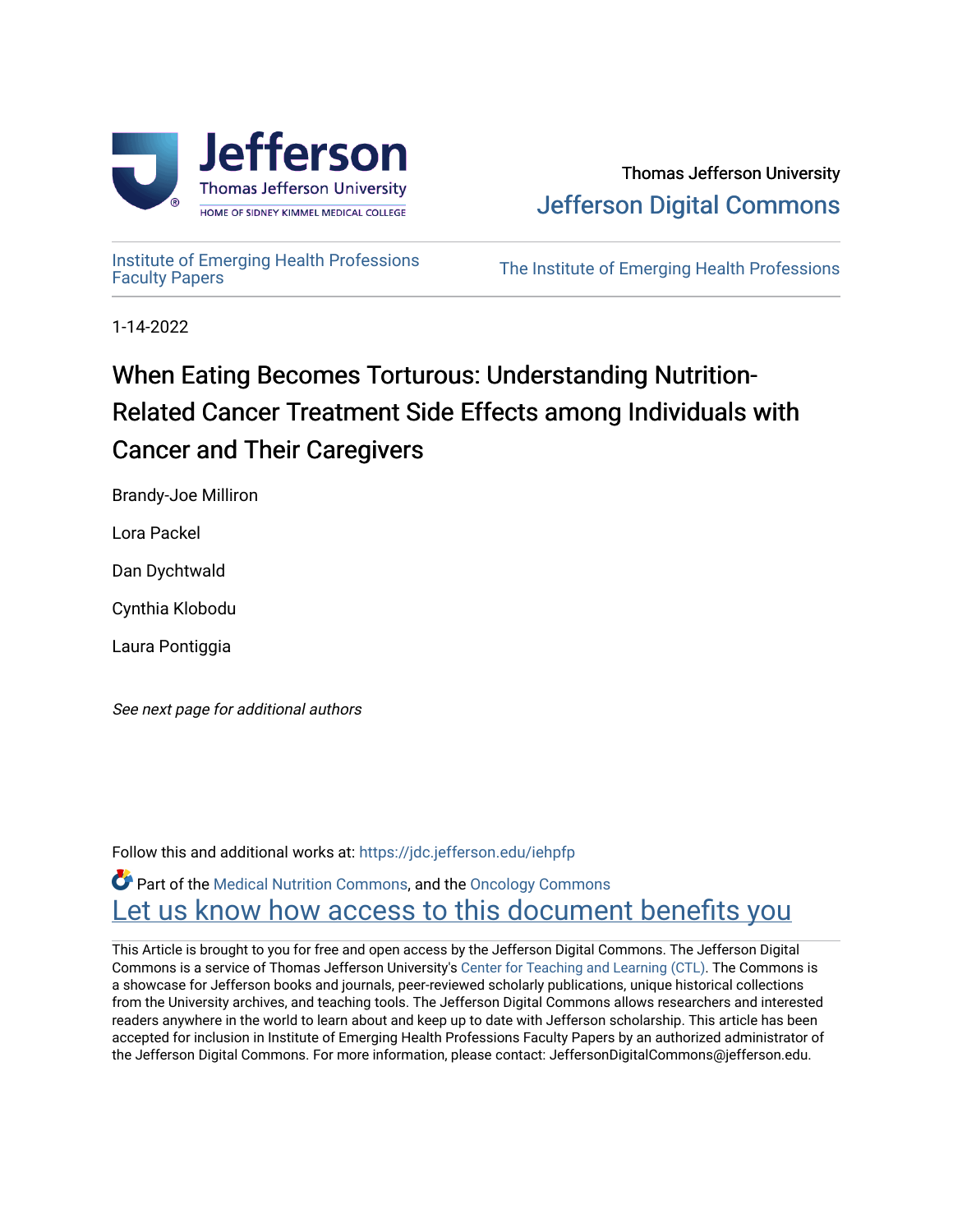

# Thomas Jefferson University [Jefferson Digital Commons](https://jdc.jefferson.edu/)

[Institute of Emerging Health Professions](https://jdc.jefferson.edu/iehpfp) 

The Institute of Emerging Health Professions

1-14-2022

# When Eating Becomes Torturous: Understanding Nutrition-Related Cancer Treatment Side Effects among Individuals with Cancer and Their Caregivers

Brandy-Joe Milliron

Lora Packel

Dan Dychtwald

Cynthia Klobodu

Laura Pontiggia

See next page for additional authors

Follow this and additional works at: [https://jdc.jefferson.edu/iehpfp](https://jdc.jefferson.edu/iehpfp?utm_source=jdc.jefferson.edu%2Fiehpfp%2F14&utm_medium=PDF&utm_campaign=PDFCoverPages) 

**C** Part of the [Medical Nutrition Commons](http://network.bepress.com/hgg/discipline/675?utm_source=jdc.jefferson.edu%2Fiehpfp%2F14&utm_medium=PDF&utm_campaign=PDFCoverPages), and the Oncology Commons Let us know how access to this document benefits you

This Article is brought to you for free and open access by the Jefferson Digital Commons. The Jefferson Digital Commons is a service of Thomas Jefferson University's [Center for Teaching and Learning \(CTL\)](http://www.jefferson.edu/university/teaching-learning.html/). The Commons is a showcase for Jefferson books and journals, peer-reviewed scholarly publications, unique historical collections from the University archives, and teaching tools. The Jefferson Digital Commons allows researchers and interested readers anywhere in the world to learn about and keep up to date with Jefferson scholarship. This article has been accepted for inclusion in Institute of Emerging Health Professions Faculty Papers by an authorized administrator of the Jefferson Digital Commons. For more information, please contact: JeffersonDigitalCommons@jefferson.edu.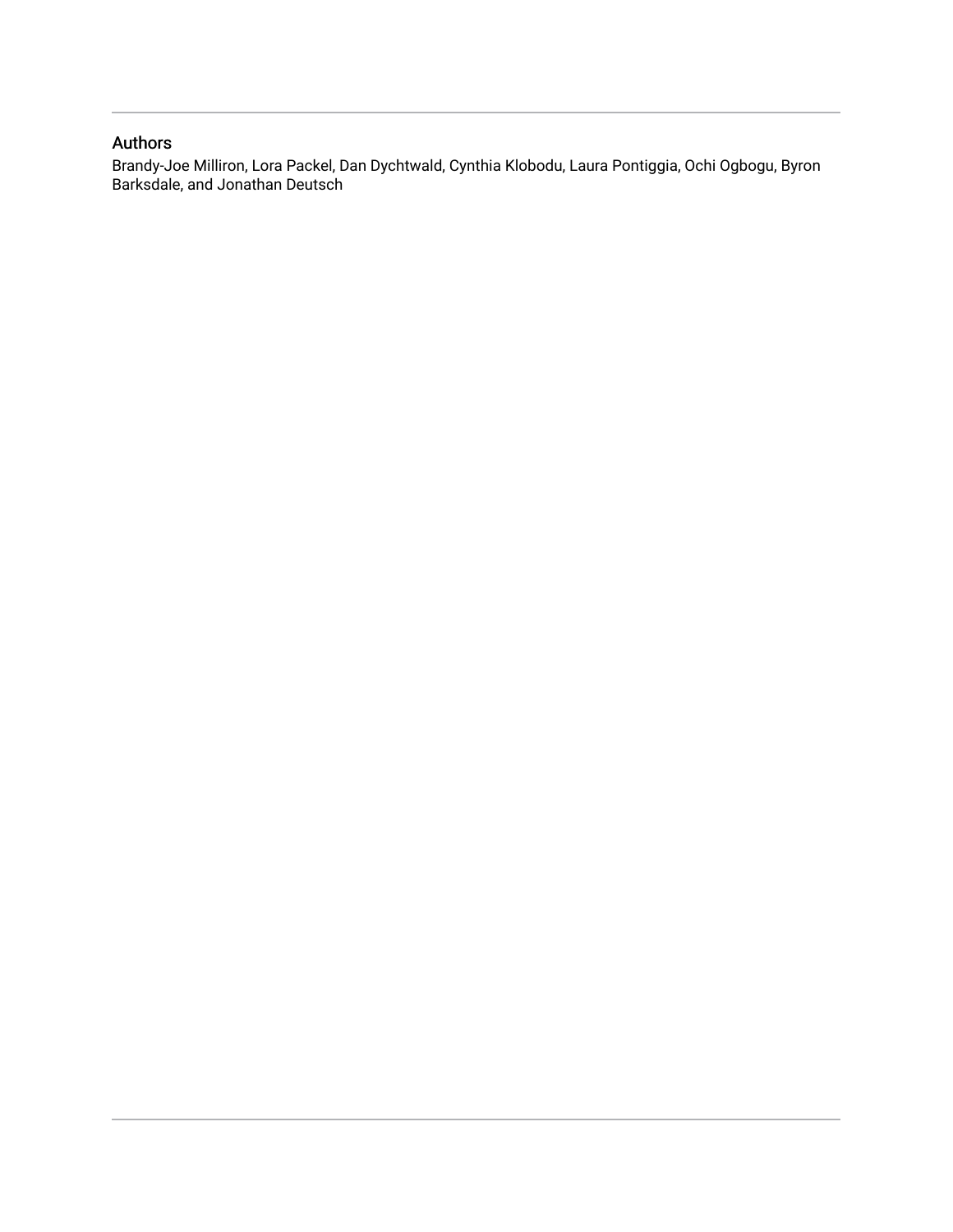# Authors

Brandy-Joe Milliron, Lora Packel, Dan Dychtwald, Cynthia Klobodu, Laura Pontiggia, Ochi Ogbogu, Byron Barksdale, and Jonathan Deutsch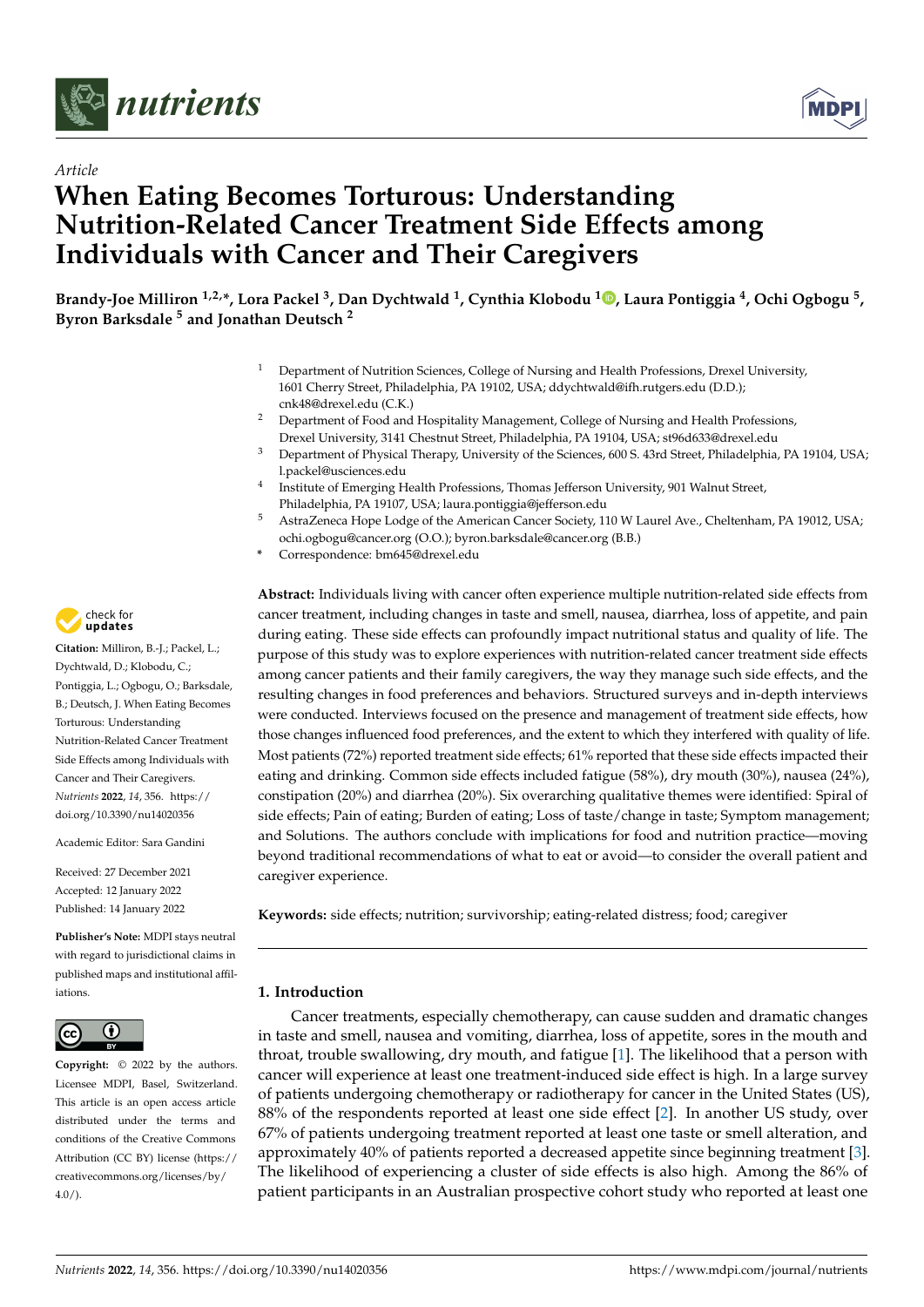



# *Article* **When Eating Becomes Torturous: Understanding Nutrition-Related Cancer Treatment Side Effects among Individuals with Cancer and Their Caregivers**

**Brandy-Joe Milliron 1,2,\*, Lora Packel <sup>3</sup> , Dan Dychtwald <sup>1</sup> , Cynthia Klobodu <sup>1</sup> [,](https://orcid.org/0000-0002-5753-3137) Laura Pontiggia <sup>4</sup> , Ochi Ogbogu <sup>5</sup> , Byron Barksdale <sup>5</sup> and Jonathan Deutsch <sup>2</sup>**

- <sup>1</sup> Department of Nutrition Sciences, College of Nursing and Health Professions, Drexel University, 1601 Cherry Street, Philadelphia, PA 19102, USA; ddychtwald@ifh.rutgers.edu (D.D.); cnk48@drexel.edu (C.K.)
- <sup>2</sup> Department of Food and Hospitality Management, College of Nursing and Health Professions, Drexel University, 3141 Chestnut Street, Philadelphia, PA 19104, USA; st96d633@drexel.edu
- <sup>3</sup> Department of Physical Therapy, University of the Sciences, 600 S. 43rd Street, Philadelphia, PA 19104, USA; l.packel@usciences.edu
- 4 Institute of Emerging Health Professions, Thomas Jefferson University, 901 Walnut Street, Philadelphia, PA 19107, USA; laura.pontiggia@jefferson.edu
- <sup>5</sup> AstraZeneca Hope Lodge of the American Cancer Society, 110 W Laurel Ave., Cheltenham, PA 19012, USA; ochi.ogbogu@cancer.org (O.O.); byron.barksdale@cancer.org (B.B.)
- **\*** Correspondence: bm645@drexel.edu

**Abstract:** Individuals living with cancer often experience multiple nutrition-related side effects from cancer treatment, including changes in taste and smell, nausea, diarrhea, loss of appetite, and pain during eating. These side effects can profoundly impact nutritional status and quality of life. The purpose of this study was to explore experiences with nutrition-related cancer treatment side effects among cancer patients and their family caregivers, the way they manage such side effects, and the resulting changes in food preferences and behaviors. Structured surveys and in-depth interviews were conducted. Interviews focused on the presence and management of treatment side effects, how those changes influenced food preferences, and the extent to which they interfered with quality of life. Most patients (72%) reported treatment side effects; 61% reported that these side effects impacted their eating and drinking. Common side effects included fatigue (58%), dry mouth (30%), nausea (24%), constipation (20%) and diarrhea (20%). Six overarching qualitative themes were identified: Spiral of side effects; Pain of eating; Burden of eating; Loss of taste/change in taste; Symptom management; and Solutions. The authors conclude with implications for food and nutrition practice—moving beyond traditional recommendations of what to eat or avoid—to consider the overall patient and caregiver experience.

**Keywords:** side effects; nutrition; survivorship; eating-related distress; food; caregiver

## **1. Introduction**

Cancer treatments, especially chemotherapy, can cause sudden and dramatic changes in taste and smell, nausea and vomiting, diarrhea, loss of appetite, sores in the mouth and throat, trouble swallowing, dry mouth, and fatigue [\[1\]](#page-19-0). The likelihood that a person with cancer will experience at least one treatment-induced side effect is high. In a large survey of patients undergoing chemotherapy or radiotherapy for cancer in the United States (US), 88% of the respondents reported at least one side effect [\[2\]](#page-19-1). In another US study, over 67% of patients undergoing treatment reported at least one taste or smell alteration, and approximately 40% of patients reported a decreased appetite since beginning treatment [\[3\]](#page-19-2). The likelihood of experiencing a cluster of side effects is also high. Among the 86% of patient participants in an Australian prospective cohort study who reported at least one



**Citation:** Milliron, B.-J.; Packel, L.; Dychtwald, D.; Klobodu, C.; Pontiggia, L.; Ogbogu, O.; Barksdale, B.; Deutsch, J. When Eating Becomes Torturous: Understanding Nutrition-Related Cancer Treatment Side Effects among Individuals with Cancer and Their Caregivers. *Nutrients* **2022**, *14*, 356. [https://](https://doi.org/10.3390/nu14020356) [doi.org/10.3390/nu14020356](https://doi.org/10.3390/nu14020356)

Academic Editor: Sara Gandini

Received: 27 December 2021 Accepted: 12 January 2022 Published: 14 January 2022

**Publisher's Note:** MDPI stays neutral with regard to jurisdictional claims in published maps and institutional affiliations.



**Copyright:** © 2022 by the authors. Licensee MDPI, Basel, Switzerland. This article is an open access article distributed under the terms and conditions of the Creative Commons Attribution (CC BY) license [\(https://](https://creativecommons.org/licenses/by/4.0/) [creativecommons.org/licenses/by/](https://creativecommons.org/licenses/by/4.0/)  $4.0/$ ).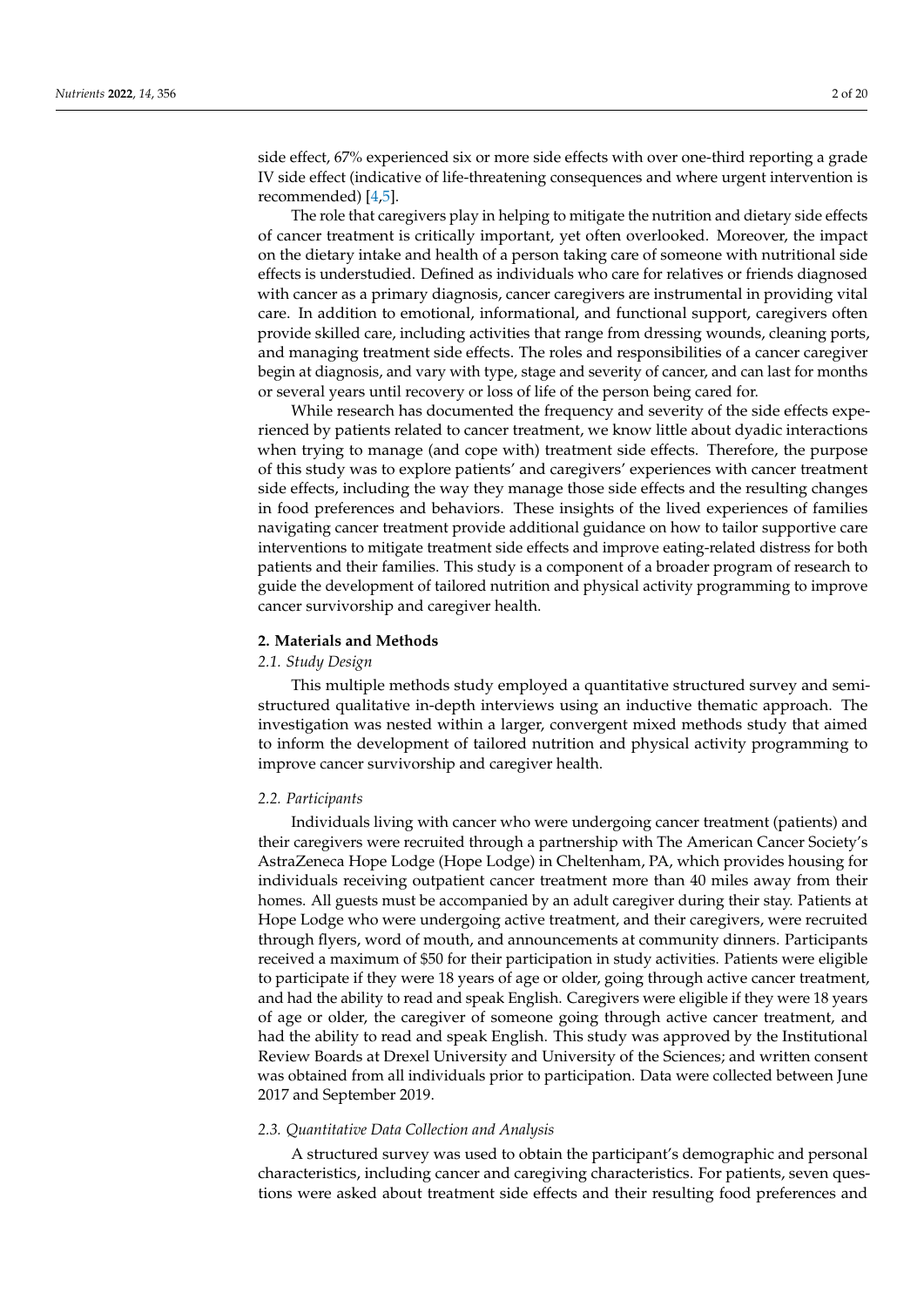side effect, 67% experienced six or more side effects with over one-third reporting a grade IV side effect (indicative of life-threatening consequences and where urgent intervention is recommended) [\[4](#page-19-3)[,5\]](#page-19-4).

The role that caregivers play in helping to mitigate the nutrition and dietary side effects of cancer treatment is critically important, yet often overlooked. Moreover, the impact on the dietary intake and health of a person taking care of someone with nutritional side effects is understudied. Defined as individuals who care for relatives or friends diagnosed with cancer as a primary diagnosis, cancer caregivers are instrumental in providing vital care. In addition to emotional, informational, and functional support, caregivers often provide skilled care, including activities that range from dressing wounds, cleaning ports, and managing treatment side effects. The roles and responsibilities of a cancer caregiver begin at diagnosis, and vary with type, stage and severity of cancer, and can last for months or several years until recovery or loss of life of the person being cared for.

While research has documented the frequency and severity of the side effects experienced by patients related to cancer treatment, we know little about dyadic interactions when trying to manage (and cope with) treatment side effects. Therefore, the purpose of this study was to explore patients' and caregivers' experiences with cancer treatment side effects, including the way they manage those side effects and the resulting changes in food preferences and behaviors. These insights of the lived experiences of families navigating cancer treatment provide additional guidance on how to tailor supportive care interventions to mitigate treatment side effects and improve eating-related distress for both patients and their families. This study is a component of a broader program of research to guide the development of tailored nutrition and physical activity programming to improve cancer survivorship and caregiver health.

#### **2. Materials and Methods**

#### *2.1. Study Design*

This multiple methods study employed a quantitative structured survey and semistructured qualitative in-depth interviews using an inductive thematic approach. The investigation was nested within a larger, convergent mixed methods study that aimed to inform the development of tailored nutrition and physical activity programming to improve cancer survivorship and caregiver health.

#### *2.2. Participants*

Individuals living with cancer who were undergoing cancer treatment (patients) and their caregivers were recruited through a partnership with The American Cancer Society's AstraZeneca Hope Lodge (Hope Lodge) in Cheltenham, PA, which provides housing for individuals receiving outpatient cancer treatment more than 40 miles away from their homes. All guests must be accompanied by an adult caregiver during their stay. Patients at Hope Lodge who were undergoing active treatment, and their caregivers, were recruited through flyers, word of mouth, and announcements at community dinners. Participants received a maximum of \$50 for their participation in study activities. Patients were eligible to participate if they were 18 years of age or older, going through active cancer treatment, and had the ability to read and speak English. Caregivers were eligible if they were 18 years of age or older, the caregiver of someone going through active cancer treatment, and had the ability to read and speak English. This study was approved by the Institutional Review Boards at Drexel University and University of the Sciences; and written consent was obtained from all individuals prior to participation. Data were collected between June 2017 and September 2019.

#### *2.3. Quantitative Data Collection and Analysis*

A structured survey was used to obtain the participant's demographic and personal characteristics, including cancer and caregiving characteristics. For patients, seven questions were asked about treatment side effects and their resulting food preferences and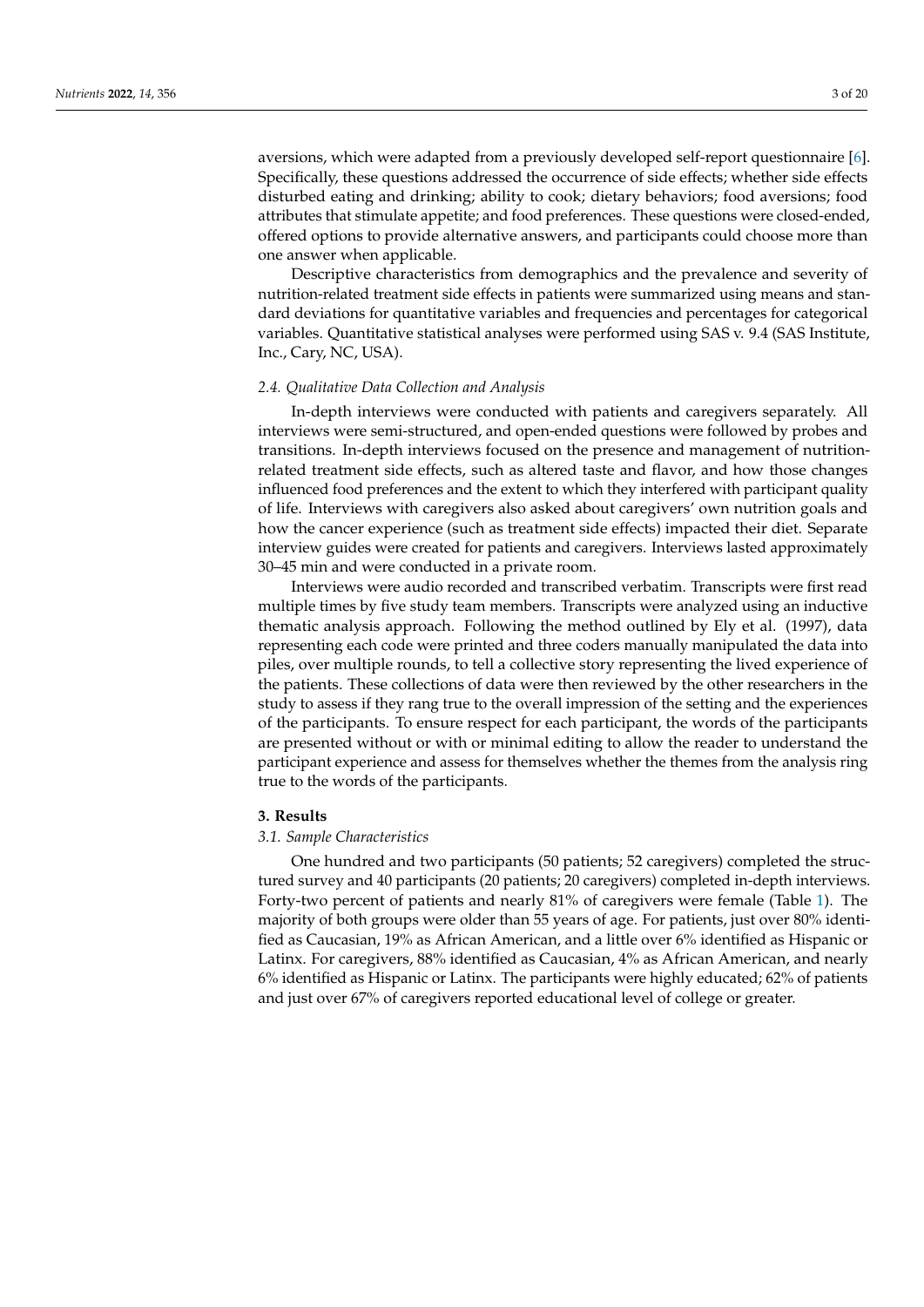aversions, which were adapted from a previously developed self-report questionnaire [\[6\]](#page-19-5). Specifically, these questions addressed the occurrence of side effects; whether side effects disturbed eating and drinking; ability to cook; dietary behaviors; food aversions; food attributes that stimulate appetite; and food preferences. These questions were closed-ended, offered options to provide alternative answers, and participants could choose more than one answer when applicable.

Descriptive characteristics from demographics and the prevalence and severity of nutrition-related treatment side effects in patients were summarized using means and standard deviations for quantitative variables and frequencies and percentages for categorical variables. Quantitative statistical analyses were performed using SAS v. 9.4 (SAS Institute, Inc., Cary, NC, USA).

#### *2.4. Qualitative Data Collection and Analysis*

In-depth interviews were conducted with patients and caregivers separately. All interviews were semi-structured, and open-ended questions were followed by probes and transitions. In-depth interviews focused on the presence and management of nutritionrelated treatment side effects, such as altered taste and flavor, and how those changes influenced food preferences and the extent to which they interfered with participant quality of life. Interviews with caregivers also asked about caregivers' own nutrition goals and how the cancer experience (such as treatment side effects) impacted their diet. Separate interview guides were created for patients and caregivers. Interviews lasted approximately 30–45 min and were conducted in a private room.

Interviews were audio recorded and transcribed verbatim. Transcripts were first read multiple times by five study team members. Transcripts were analyzed using an inductive thematic analysis approach. Following the method outlined by Ely et al. (1997), data representing each code were printed and three coders manually manipulated the data into piles, over multiple rounds, to tell a collective story representing the lived experience of the patients. These collections of data were then reviewed by the other researchers in the study to assess if they rang true to the overall impression of the setting and the experiences of the participants. To ensure respect for each participant, the words of the participants are presented without or with or minimal editing to allow the reader to understand the participant experience and assess for themselves whether the themes from the analysis ring true to the words of the participants.

#### **3. Results**

# *3.1. Sample Characteristics*

One hundred and two participants (50 patients; 52 caregivers) completed the structured survey and 40 participants (20 patients; 20 caregivers) completed in-depth interviews. Forty-two percent of patients and nearly 81% of caregivers were female (Table [1\)](#page-5-0). The majority of both groups were older than 55 years of age. For patients, just over 80% identified as Caucasian, 19% as African American, and a little over 6% identified as Hispanic or Latinx. For caregivers, 88% identified as Caucasian, 4% as African American, and nearly 6% identified as Hispanic or Latinx. The participants were highly educated; 62% of patients and just over 67% of caregivers reported educational level of college or greater.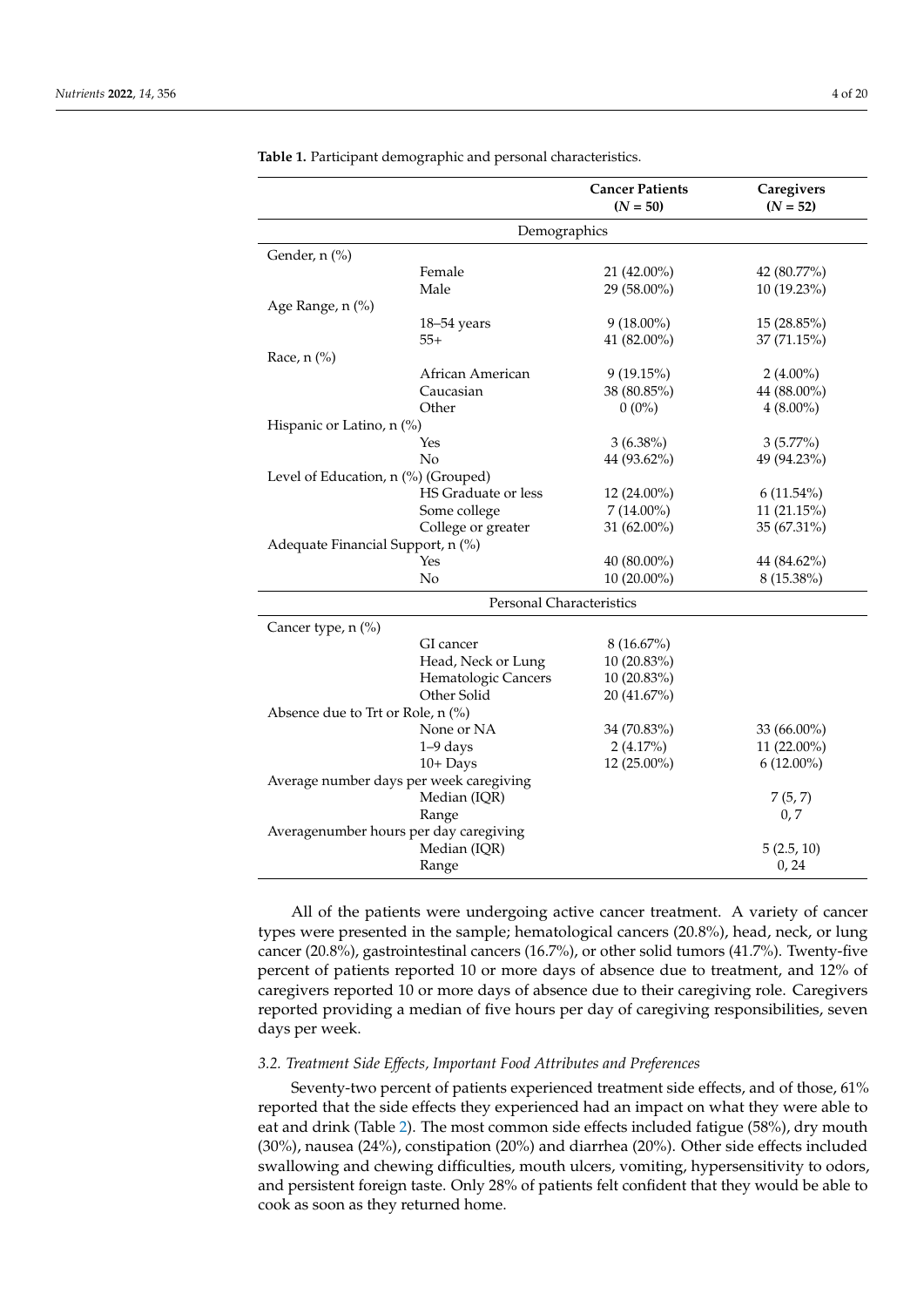|                                        |                                         | <b>Cancer Patients</b><br>$(N = 50)$ | Caregivers<br>$(N = 52)$ |
|----------------------------------------|-----------------------------------------|--------------------------------------|--------------------------|
|                                        | Demographics                            |                                      |                          |
| Gender, n (%)                          |                                         |                                      |                          |
|                                        | Female                                  | 21 (42.00%)                          | 42 (80.77%)              |
|                                        | Male                                    | 29 (58.00%)                          | 10 (19.23%)              |
| Age Range, n (%)                       |                                         |                                      |                          |
|                                        | $18 - 54$ years                         | $9(18.00\%)$                         | 15 (28.85%)              |
|                                        | $55+$                                   | 41 (82.00%)                          | 37(71.15%)               |
| Race, $n$ (%)                          |                                         |                                      |                          |
|                                        | African American                        | 9(19.15%)                            | $2(4.00\%)$              |
|                                        | Caucasian                               | 38 (80.85%)                          | 44 (88.00%)              |
|                                        | Other                                   | $0(0\%)$                             | $4(8.00\%)$              |
| Hispanic or Latino, n (%)              |                                         |                                      |                          |
|                                        | Yes                                     | $3(6.38\%)$                          | $3(5.77\%)$              |
|                                        | No                                      | 44 (93.62%)                          | 49 (94.23%)              |
| Level of Education, n (%) (Grouped)    |                                         |                                      |                          |
|                                        | HS Graduate or less                     | 12 (24.00%)                          | $6(11.54\%)$             |
|                                        | Some college                            | $7(14.00\%)$                         | 11(21.15%)               |
|                                        | College or greater                      | 31 (62.00%)                          | 35 (67.31%)              |
| Adequate Financial Support, n (%)      |                                         |                                      |                          |
|                                        | Yes                                     | 40 (80.00%)                          | 44 (84.62%)              |
|                                        | No                                      | 10 (20.00%)                          | 8 (15.38%)               |
|                                        | Personal Characteristics                |                                      |                          |
| Cancer type, n (%)                     |                                         |                                      |                          |
|                                        | GI cancer                               | $8(16.67\%)$                         |                          |
|                                        | Head, Neck or Lung                      | 10 (20.83%)                          |                          |
|                                        | Hematologic Cancers                     | 10 (20.83%)                          |                          |
|                                        | Other Solid                             | 20 (41.67%)                          |                          |
| Absence due to Trt or Role, n (%)      |                                         |                                      |                          |
|                                        | None or NA                              | 34 (70.83%)                          | 33 (66.00%)              |
|                                        | $1-9$ days                              | $2(4.17\%)$                          | 11 (22.00%)              |
|                                        | $10 +$ Days                             | 12 (25.00%)                          | $6(12.00\%)$             |
|                                        | Average number days per week caregiving |                                      |                          |
|                                        | Median (IQR)                            |                                      | 7(5, 7)                  |
|                                        | Range                                   |                                      | 0, 7                     |
| Averagenumber hours per day caregiving |                                         |                                      |                          |
|                                        | Median (IQR)                            |                                      | 5(2.5, 10)               |
|                                        | Range                                   |                                      | 0, 24                    |

<span id="page-5-0"></span>**Table 1.** Participant demographic and personal characteristics.

All of the patients were undergoing active cancer treatment. A variety of cancer types were presented in the sample; hematological cancers (20.8%), head, neck, or lung cancer (20.8%), gastrointestinal cancers (16.7%), or other solid tumors (41.7%). Twenty-five percent of patients reported 10 or more days of absence due to treatment, and 12% of caregivers reported 10 or more days of absence due to their caregiving role. Caregivers reported providing a median of five hours per day of caregiving responsibilities, seven days per week.

#### *3.2. Treatment Side Effects, Important Food Attributes and Preferences*

Seventy-two percent of patients experienced treatment side effects, and of those, 61% reported that the side effects they experienced had an impact on what they were able to eat and drink (Table [2\)](#page-6-0). The most common side effects included fatigue (58%), dry mouth (30%), nausea (24%), constipation (20%) and diarrhea (20%). Other side effects included swallowing and chewing difficulties, mouth ulcers, vomiting, hypersensitivity to odors, and persistent foreign taste. Only 28% of patients felt confident that they would be able to cook as soon as they returned home.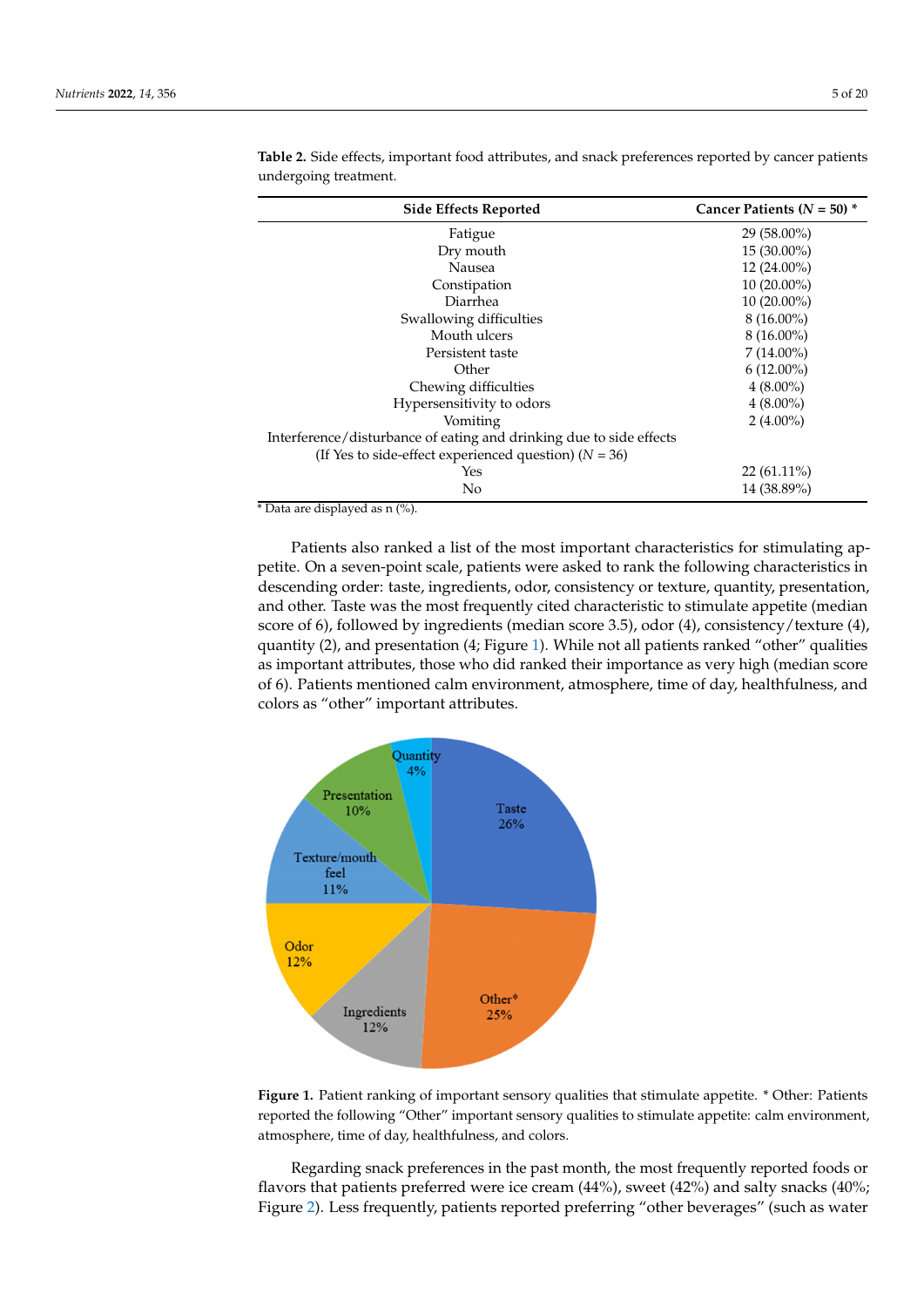| <b>Side Effects Reported</b>                                        | Cancer Patients ( $N = 50$ ) * |
|---------------------------------------------------------------------|--------------------------------|
| Fatigue                                                             | $29(58.00\%)$                  |
| Dry mouth                                                           | $15(30.00\%)$                  |
| Nausea                                                              | $12(24.00\%)$                  |
| Constipation                                                        | $10(20.00\%)$                  |
| Diarrhea                                                            | $10(20.00\%)$                  |
| Swallowing difficulties                                             | $8(16.00\%)$                   |
| Mouth ulcers                                                        | $8(16.00\%)$                   |
| Persistent taste                                                    | $7(14.00\%)$                   |
| Other                                                               | $6(12.00\%)$                   |
| Chewing difficulties                                                | $4(8.00\%)$                    |
| Hypersensitivity to odors                                           | $4(8.00\%)$                    |
| Vomiting                                                            | $2(4.00\%)$                    |
| Interference/disturbance of eating and drinking due to side effects |                                |
| (If Yes to side-effect experienced question) ( $N = 36$ )           |                                |
| Yes                                                                 | $22(61.11\%)$                  |
| No                                                                  | 14 (38.89%)                    |

<span id="page-6-0"></span>**Table 2.** Side effects, important food attributes, and snack preferences reported by cancer patients undergoing treatment.

Patients also ranked a list of the most important characteristics for stimulating appetite. On a seven-point scale, patients were asked to rank the following characteristics in descending order: taste, ingredients, odor, consistency or texture, quantity, presentation, and other. Taste was the most frequently cited characteristic to stimulate appetite (median score of 6), followed by ingredients (median score 3.5), odor (4), consistency/texture (4), quantity (2), and presentation (4; Figure [1\)](#page-6-1). While not all patients ranked "other" qualities as important attributes, those who did ranked their importance as very high (median score of 6). Patients mentioned calm environment, atmosphere, time of day, healthfulness, and colors as "other" important attributes.

<span id="page-6-1"></span>

**Figure 1.** Patient ranking of important sensory qualities that stimulate appetite. \* Other: Patients atmosphere, time of day, healthfulness, and colors. **Figure 1.** Patient ranking of important sensory qualities that stimulate appetite. \* Other: Patients reported the following "Other" important sensory qualities to stimulate appetite: calm environment,

Regarding snack preferences in the past month, the most frequently reported foods or flavors that patients preferred were ice cream (44%), sweet (42%) and salty snacks (40%; Figure [2\)](#page-7-0). Less frequently, patients reported preferring "other beverages" (such as water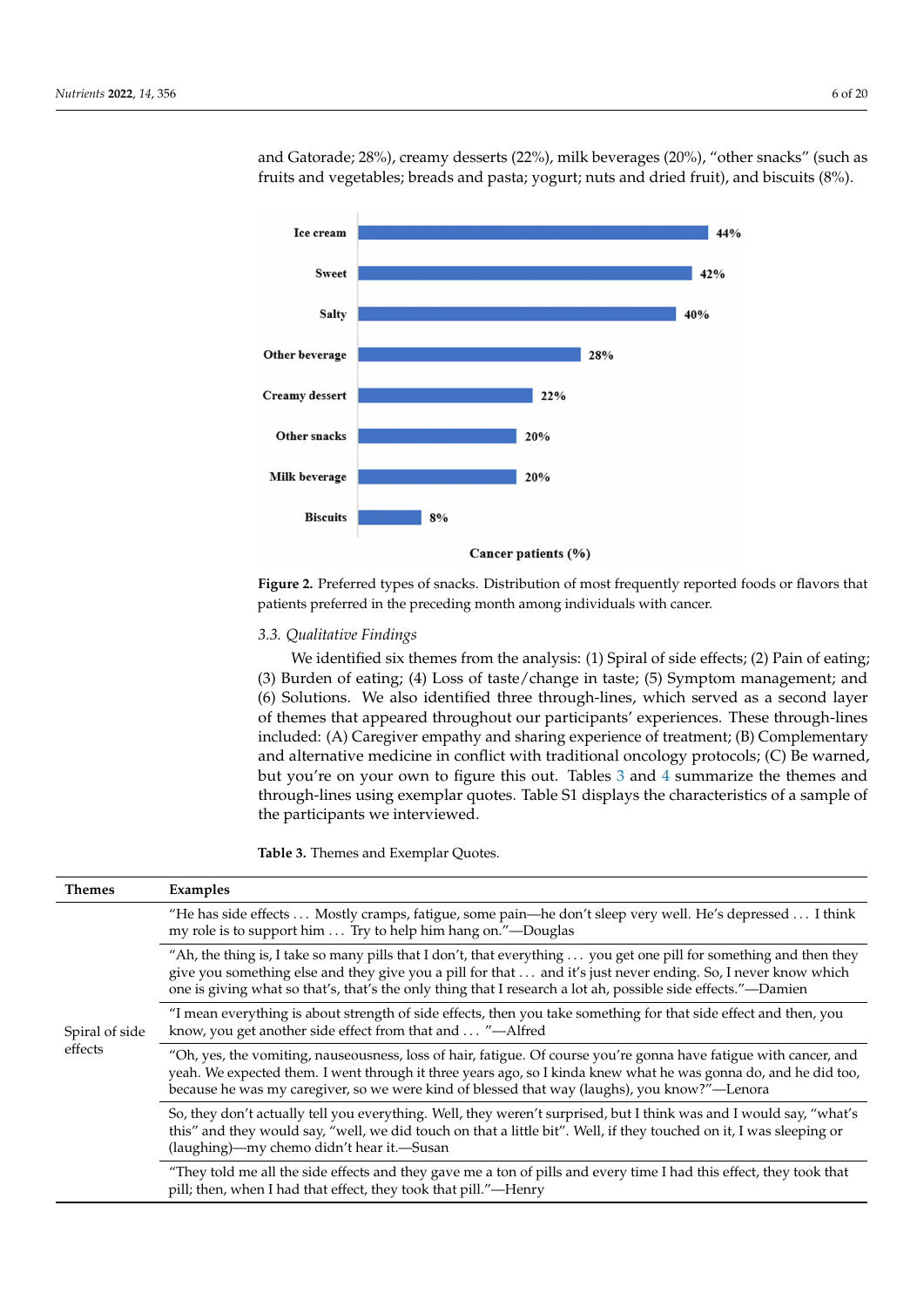<span id="page-7-0"></span>

and Gatorade; 28%), creamy desserts (22%), milk beverages (20%), "other snacks" (such as fruits and vegetables; breads and pasta; yogurt; nuts and dried fruit), and biscuits  $(8\%)$ . and Gatorade;  $20\%$ ), creamy dessents ( $22\%$ ), milk beverages ( $20\%$ ), other snacks

**Figure 2.** Preferred types of snacks. Distribution of most frequently reported foods or flavors that **Figure 2.** Preferred types of snacks. Distribution of most frequently reported foods or flavors that patients preferred in the preceding month among individuals with cancer. patients preferred in the preceding month among individuals with cancer.

#### *3.3. Qualitative Findings 3.3. Qualitative Findings*

We identified six themes from the analysis: (1) Spiral of side effects; (2) Pain of eating; We identified six themes from the analysis: (1) Spiral of side effects; (2) Pain of eating; (3) Burden of eating; (4) Loss of taste/change in taste; (5) Symptom management; and (6) (3) Burden of eating; (4) Loss of taste/change in taste; (5) Symptom management; and (6) Solutions. We also identified three through-lines, which served as a second layer of themes that appeared throughout our participants' experiences. These through-lines included: (A) Caregiver empathy and sharing experience of treatment; (B) Complementary and alternative medicine in conflict with traditional oncology protocols; (C) Be warned, but you're on your own to figure this out. Tables [3](#page-7-1) and [4](#page-10-0) summarize the themes and through-lines using exemplar quotes. Table S1 displays the characteristics of a sample of the participants we interviewed.

<span id="page-7-1"></span>**Table 3.** Themes and Exemplar Quotes.

| <b>Themes</b>             | Examples                                                                                                                                                                                                                                                                                                                                             |
|---------------------------|------------------------------------------------------------------------------------------------------------------------------------------------------------------------------------------------------------------------------------------------------------------------------------------------------------------------------------------------------|
| Spiral of side<br>effects | "He has side effects Mostly cramps, fatigue, some pain—he don't sleep very well. He's depressed I think<br>my role is to support him  Try to help him hang on."—Douglas                                                                                                                                                                              |
|                           | "Ah, the thing is, I take so many pills that I don't, that everything  you get one pill for something and then they<br>give you something else and they give you a pill for that  and it's just never ending. So, I never know which<br>one is giving what so that's, that's the only thing that I research a lot ah, possible side effects."—Damien |
|                           | "I mean everything is about strength of side effects, then you take something for that side effect and then, you<br>know, you get another side effect from that and  "-Alfred                                                                                                                                                                        |
|                           | "Oh, yes, the vomiting, nauseousness, loss of hair, fatigue. Of course you're gonna have fatigue with cancer, and<br>yeah. We expected them. I went through it three years ago, so I kinda knew what he was gonna do, and he did too,<br>because he was my caregiver, so we were kind of blessed that way (laughs), you know?"—Lenora                |
|                           | So, they don't actually tell you everything. Well, they weren't surprised, but I think was and I would say, "what's<br>this" and they would say, "well, we did touch on that a little bit". Well, if they touched on it, I was sleeping or<br>(laughing)—my chemo didn't hear it.—Susan                                                              |
|                           | "They told me all the side effects and they gave me a ton of pills and every time I had this effect, they took that<br>pill; then, when I had that effect, they took that pill."—Henry                                                                                                                                                               |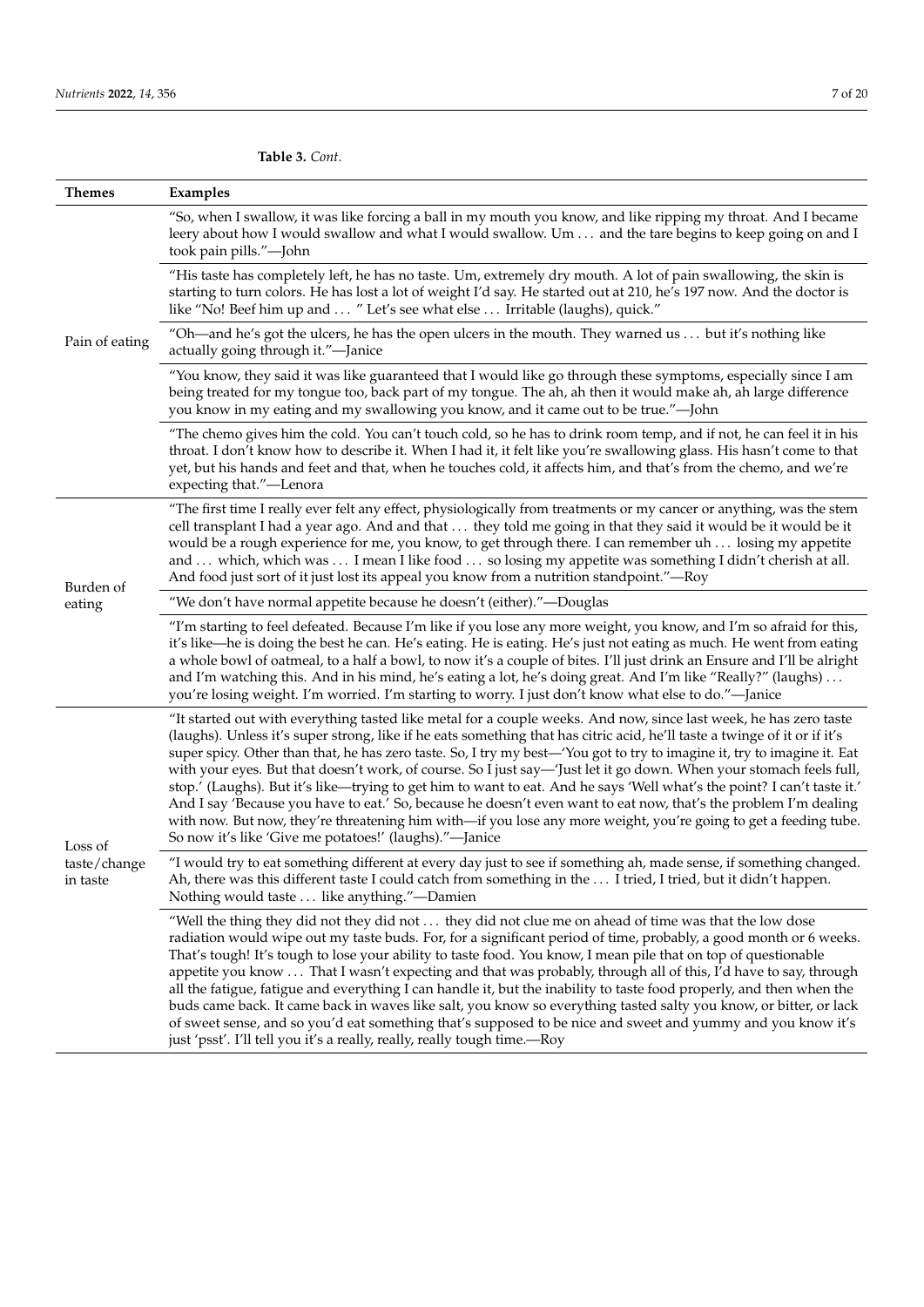**Table 3.** *Cont.*

| Themes                              | Examples                                                                                                                                                                                                                                                                                                                                                                                                                                                                                                                                                                                                                                                                                                                                                                                                                                                                                                                       |
|-------------------------------------|--------------------------------------------------------------------------------------------------------------------------------------------------------------------------------------------------------------------------------------------------------------------------------------------------------------------------------------------------------------------------------------------------------------------------------------------------------------------------------------------------------------------------------------------------------------------------------------------------------------------------------------------------------------------------------------------------------------------------------------------------------------------------------------------------------------------------------------------------------------------------------------------------------------------------------|
| Pain of eating                      | "So, when I swallow, it was like forcing a ball in my mouth you know, and like ripping my throat. And I became<br>leery about how I would swallow and what I would swallow. Um  and the tare begins to keep going on and I<br>took pain pills."-John                                                                                                                                                                                                                                                                                                                                                                                                                                                                                                                                                                                                                                                                           |
|                                     | "His taste has completely left, he has no taste. Um, extremely dry mouth. A lot of pain swallowing, the skin is<br>starting to turn colors. He has lost a lot of weight I'd say. He started out at 210, he's 197 now. And the doctor is<br>like "No! Beef him up and  " Let's see what else  Irritable (laughs), quick."                                                                                                                                                                                                                                                                                                                                                                                                                                                                                                                                                                                                       |
|                                     | "Oh—and he's got the ulcers, he has the open ulcers in the mouth. They warned us  but it's nothing like<br>actually going through it."-Janice                                                                                                                                                                                                                                                                                                                                                                                                                                                                                                                                                                                                                                                                                                                                                                                  |
|                                     | "You know, they said it was like guaranteed that I would like go through these symptoms, especially since I am<br>being treated for my tongue too, back part of my tongue. The ah, ah then it would make ah, ah large difference<br>you know in my eating and my swallowing you know, and it came out to be true."-John                                                                                                                                                                                                                                                                                                                                                                                                                                                                                                                                                                                                        |
|                                     | "The chemo gives him the cold. You can't touch cold, so he has to drink room temp, and if not, he can feel it in his<br>throat. I don't know how to describe it. When I had it, it felt like you're swallowing glass. His hasn't come to that<br>yet, but his hands and feet and that, when he touches cold, it affects him, and that's from the chemo, and we're<br>expecting that."—Lenora                                                                                                                                                                                                                                                                                                                                                                                                                                                                                                                                   |
|                                     | "The first time I really ever felt any effect, physiologically from treatments or my cancer or anything, was the stem<br>cell transplant I had a year ago. And and that  they told me going in that they said it would be it would be it<br>would be a rough experience for me, you know, to get through there. I can remember uh  losing my appetite<br>and  which, which was  I mean I like food  so losing my appetite was something I didn't cherish at all.<br>And food just sort of it just lost its appeal you know from a nutrition standpoint."—Roy                                                                                                                                                                                                                                                                                                                                                                   |
| Burden of<br>eating                 | "We don't have normal appetite because he doesn't (either)."-Douglas                                                                                                                                                                                                                                                                                                                                                                                                                                                                                                                                                                                                                                                                                                                                                                                                                                                           |
|                                     | "I'm starting to feel defeated. Because I'm like if you lose any more weight, you know, and I'm so afraid for this,<br>it's like—he is doing the best he can. He's eating. He is eating. He's just not eating as much. He went from eating<br>a whole bowl of oatmeal, to a half a bowl, to now it's a couple of bites. I'll just drink an Ensure and I'll be alright<br>and I'm watching this. And in his mind, he's eating a lot, he's doing great. And I'm like "Really?" (laughs)<br>you're losing weight. I'm worried. I'm starting to worry. I just don't know what else to do."-Janice                                                                                                                                                                                                                                                                                                                                  |
| Loss of<br>taste/change<br>in taste | "It started out with everything tasted like metal for a couple weeks. And now, since last week, he has zero taste<br>(laughs). Unless it's super strong, like if he eats something that has citric acid, he'll taste a twinge of it or if it's<br>super spicy. Other than that, he has zero taste. So, I try my best—'You got to try to imagine it, try to imagine it. Eat<br>with your eyes. But that doesn't work, of course. So I just say—'Just let it go down. When your stomach feels full,<br>stop.' (Laughs). But it's like—trying to get him to want to eat. And he says 'Well what's the point? I can't taste it.'<br>And I say 'Because you have to eat.' So, because he doesn't even want to eat now, that's the problem I'm dealing<br>with now. But now, they're threatening him with—if you lose any more weight, you're going to get a feeding tube.<br>So now it's like 'Give me potatoes!' (laughs)."-Janice |
|                                     | "I would try to eat something different at every day just to see if something ah, made sense, if something changed.<br>Ah, there was this different taste I could catch from something in the  I tried, I tried, but it didn't happen.<br>Nothing would taste  like anything."-Damien                                                                                                                                                                                                                                                                                                                                                                                                                                                                                                                                                                                                                                          |
|                                     | "Well the thing they did not they did not  they did not clue me on ahead of time was that the low dose<br>radiation would wipe out my taste buds. For, for a significant period of time, probably, a good month or 6 weeks.<br>That's tough! It's tough to lose your ability to taste food. You know, I mean pile that on top of questionable<br>appetite you know  That I wasn't expecting and that was probably, through all of this, I'd have to say, through<br>all the fatigue, fatigue and everything I can handle it, but the inability to taste food properly, and then when the<br>buds came back. It came back in waves like salt, you know so everything tasted salty you know, or bitter, or lack<br>of sweet sense, and so you'd eat something that's supposed to be nice and sweet and yummy and you know it's<br>just 'psst'. I'll tell you it's a really, really, really tough time.-Roy                       |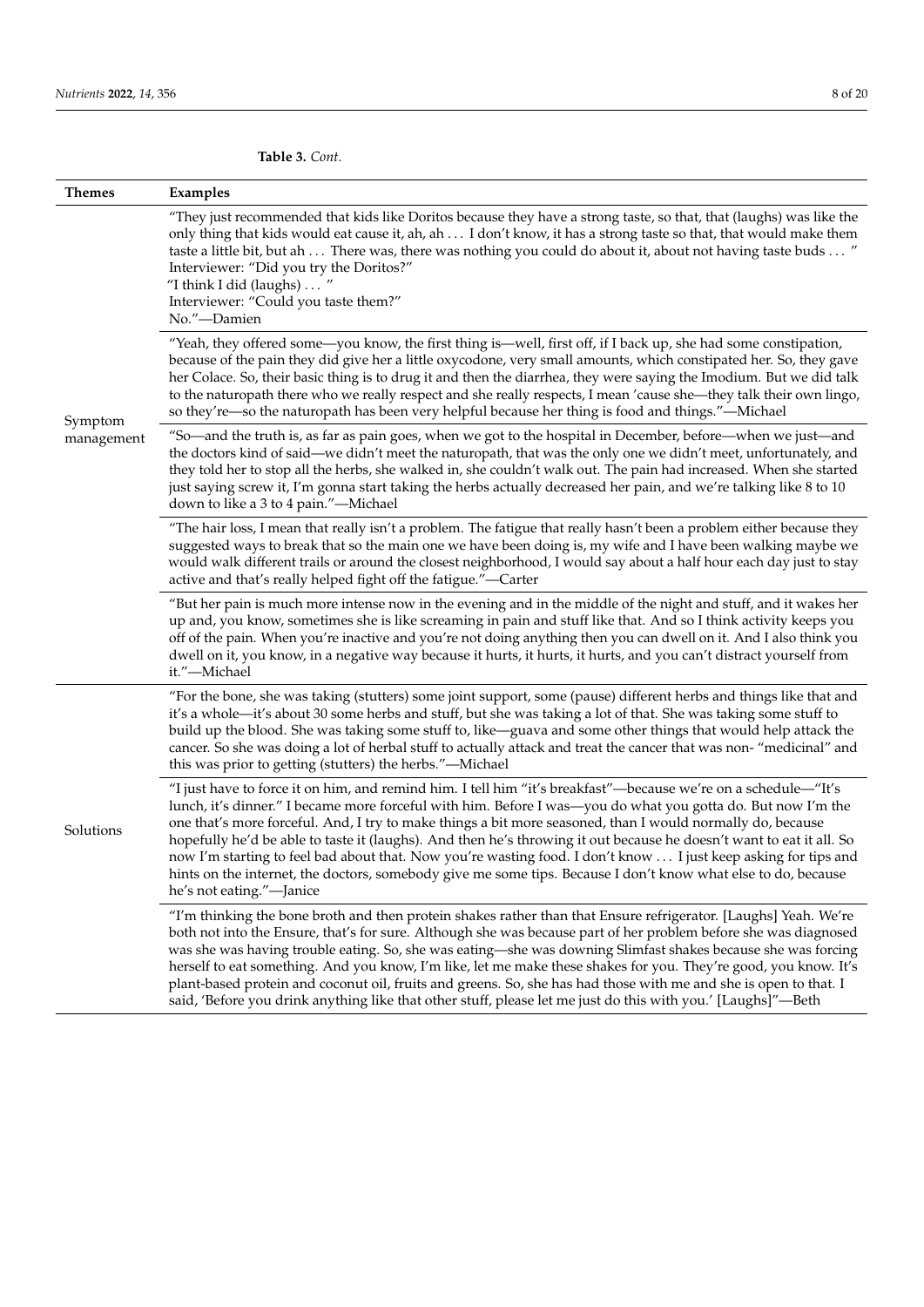**Themes Examples** Symptom management "They just recommended that kids like Doritos because they have a strong taste, so that, that (laughs) was like the only thing that kids would eat cause it, ah, ah . . . I don't know, it has a strong taste so that, that would make them taste a little bit, but ah . . . There was, there was nothing you could do about it, about not having taste buds . . . " Interviewer: "Did you try the Doritos?" "I think I did (laughs) . . . " Interviewer: "Could you taste them?" No."—Damien "Yeah, they offered some—you know, the first thing is—well, first off, if I back up, she had some constipation, because of the pain they did give her a little oxycodone, very small amounts, which constipated her. So, they gave her Colace. So, their basic thing is to drug it and then the diarrhea, they were saying the Imodium. But we did talk to the naturopath there who we really respect and she really respects, I mean 'cause she—they talk their own lingo, so they're—so the naturopath has been very helpful because her thing is food and things."—Michael "So—and the truth is, as far as pain goes, when we got to the hospital in December, before—when we just—and the doctors kind of said—we didn't meet the naturopath, that was the only one we didn't meet, unfortunately, and they told her to stop all the herbs, she walked in, she couldn't walk out. The pain had increased. When she started just saying screw it, I'm gonna start taking the herbs actually decreased her pain, and we're talking like 8 to 10 down to like a 3 to 4 pain."—Michael "The hair loss, I mean that really isn't a problem. The fatigue that really hasn't been a problem either because they suggested ways to break that so the main one we have been doing is, my wife and I have been walking maybe we would walk different trails or around the closest neighborhood, I would say about a half hour each day just to stay active and that's really helped fight off the fatigue."—Carter "But her pain is much more intense now in the evening and in the middle of the night and stuff, and it wakes her up and, you know, sometimes she is like screaming in pain and stuff like that. And so I think activity keeps you off of the pain. When you're inactive and you're not doing anything then you can dwell on it. And I also think you dwell on it, you know, in a negative way because it hurts, it hurts, it hurts, and you can't distract yourself from it."—Michael Solutions "For the bone, she was taking (stutters) some joint support, some (pause) different herbs and things like that and it's a whole—it's about 30 some herbs and stuff, but she was taking a lot of that. She was taking some stuff to build up the blood. She was taking some stuff to, like—guava and some other things that would help attack the cancer. So she was doing a lot of herbal stuff to actually attack and treat the cancer that was non- "medicinal" and this was prior to getting (stutters) the herbs."—Michael "I just have to force it on him, and remind him. I tell him "it's breakfast"—because we're on a schedule—"It's lunch, it's dinner." I became more forceful with him. Before I was—you do what you gotta do. But now I'm the one that's more forceful. And, I try to make things a bit more seasoned, than I would normally do, because hopefully he'd be able to taste it (laughs). And then he's throwing it out because he doesn't want to eat it all. So now I'm starting to feel bad about that. Now you're wasting food. I don't know . . . I just keep asking for tips and hints on the internet, the doctors, somebody give me some tips. Because I don't know what else to do, because he's not eating."—Janice "I'm thinking the bone broth and then protein shakes rather than that Ensure refrigerator. [Laughs] Yeah. We're both not into the Ensure, that's for sure. Although she was because part of her problem before she was diagnosed was she was having trouble eating. So, she was eating—she was downing Slimfast shakes because she was forcing herself to eat something. And you know, I'm like, let me make these shakes for you. They're good, you know. It's plant-based protein and coconut oil, fruits and greens. So, she has had those with me and she is open to that. I said, 'Before you drink anything like that other stuff, please let me just do this with you.' [Laughs]"—Beth

**Table 3.** *Cont.*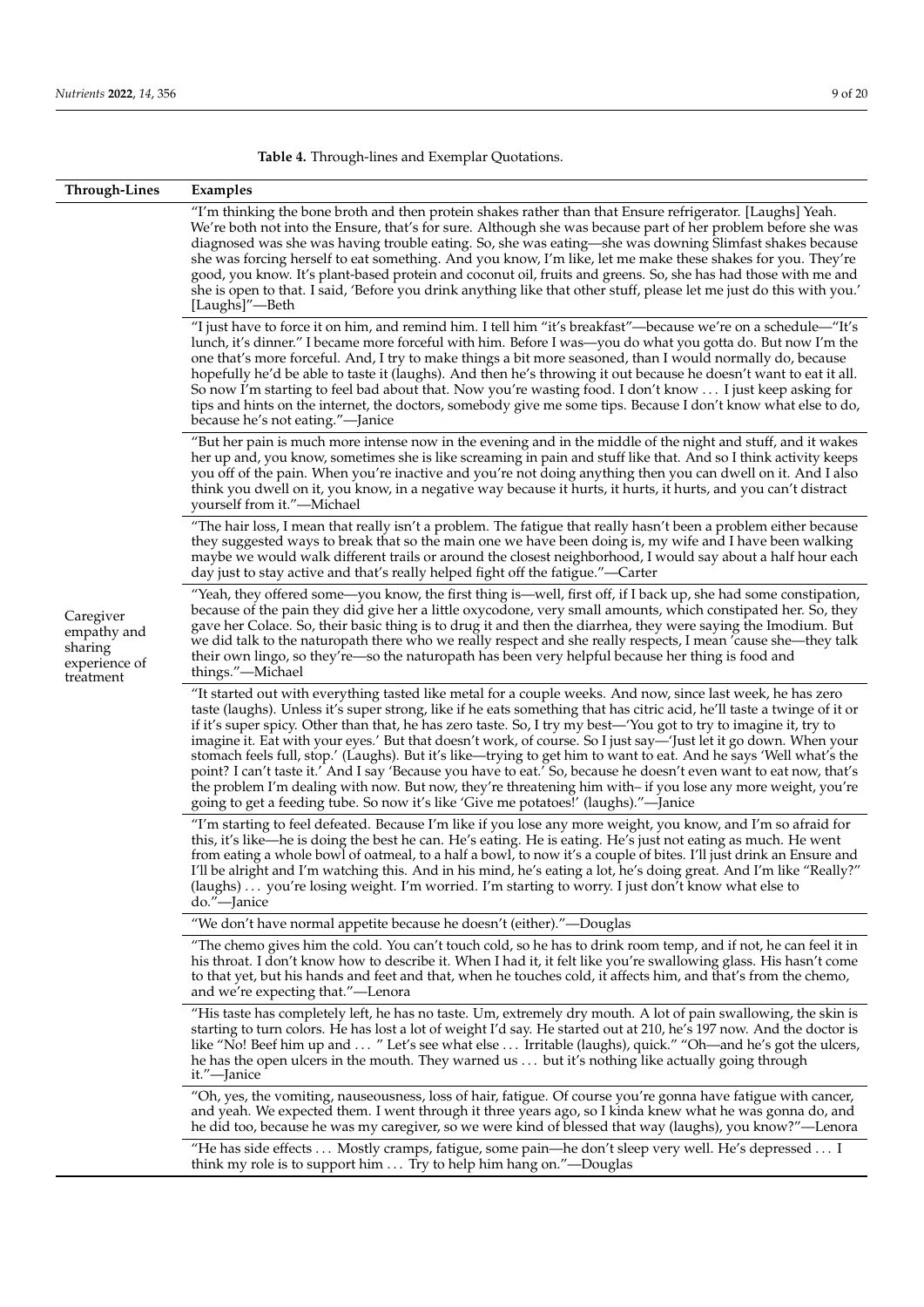<span id="page-10-0"></span>**Table 4.** Through-lines and Exemplar Quotations.

| Through-Lines                                                     | Examples                                                                                                                                                                                                                                                                                                                                                                                                                                                                                                                                                                                                                                                                                                                                                                                                                                                                                                                         |
|-------------------------------------------------------------------|----------------------------------------------------------------------------------------------------------------------------------------------------------------------------------------------------------------------------------------------------------------------------------------------------------------------------------------------------------------------------------------------------------------------------------------------------------------------------------------------------------------------------------------------------------------------------------------------------------------------------------------------------------------------------------------------------------------------------------------------------------------------------------------------------------------------------------------------------------------------------------------------------------------------------------|
| Caregiver<br>empathy and<br>sharing<br>experience of<br>treatment | "I'm thinking the bone broth and then protein shakes rather than that Ensure refrigerator. [Laughs] Yeah.<br>We're both not into the Ensure, that's for sure. Although she was because part of her problem before she was<br>diagnosed was she was having trouble eating. So, she was eating—she was downing Slimfast shakes because<br>she was forcing herself to eat something. And you know, I'm like, let me make these shakes for you. They're<br>good, you know. It's plant-based protein and coconut oil, fruits and greens. So, she has had those with me and<br>she is open to that. I said, 'Before you drink anything like that other stuff, please let me just do this with you.'<br>[Laughs]"—Beth                                                                                                                                                                                                                  |
|                                                                   | "I just have to force it on him, and remind him. I tell him "it's breakfast"—because we're on a schedule—"It's<br>lunch, it's dinner." I became more forceful with him. Before I was—you do what you gotta do. But now I'm the<br>one that's more forceful. And, I try to make things a bit more seasoned, than I would normally do, because<br>hopefully he'd be able to taste it (laughs). And then he's throwing it out because he doesn't want to eat it all.<br>So now I'm starting to feel bad about that. Now you're wasting food. I don't know  I just keep asking for<br>tips and hints on the internet, the doctors, somebody give me some tips. Because I don't know what else to do,<br>because he's not eating."—Janice                                                                                                                                                                                             |
|                                                                   | "But her pain is much more intense now in the evening and in the middle of the night and stuff, and it wakes<br>her up and, you know, sometimes she is like screaming in pain and stuff like that. And so I think activity keeps<br>you off of the pain. When you're inactive and you're not doing anything then you can dwell on it. And I also<br>think you dwell on it, you know, in a negative way because it hurts, it hurts, it hurts, and you can't distract<br>yourself from it."—Michael                                                                                                                                                                                                                                                                                                                                                                                                                                |
|                                                                   | "The hair loss, I mean that really isn't a problem. The fatigue that really hasn't been a problem either because<br>they suggested ways to break that so the main one we have been doing is, my wife and I have been walking<br>maybe we would walk different trails or around the closest neighborhood, I would say about a half hour each<br>day just to stay active and that's really helped fight off the fatigue."—Carter                                                                                                                                                                                                                                                                                                                                                                                                                                                                                                   |
|                                                                   | "Yeah, they offered some—you know, the first thing is—well, first off, if I back up, she had some constipation,<br>because of the pain they did give her a little oxycodone, very small amounts, which constipated her. So, they<br>gave her Colace. So, their basic thing is to drug it and then the diarrhea, they were saying the Imodium. But<br>we did talk to the naturopath there who we really respect and she really respects, I mean 'cause she—they talk<br>their own lingo, so they're—so the naturopath has been very helpful because her thing is food and<br>things."-Michael                                                                                                                                                                                                                                                                                                                                     |
|                                                                   | "It started out with everything tasted like metal for a couple weeks. And now, since last week, he has zero<br>taste (laughs). Unless it's super strong, like if he eats something that has citric acid, he'll taste a twinge of it or<br>if it's super spicy. Other than that, he has zero taste. So, I try my best—'You got to try to imagine it, try to<br>imagine it. Eat with your eyes.' But that doesn't work, of course. So I just say—'Just let it go down. When your<br>stomach feels full, stop.' (Laughs). But it's like—trying to get him to want to eat. And he says 'Well what's the<br>point? I can't taste it.' And I say 'Because you have to eat.' So, because he doesn't even want to eat now, that's<br>the problem I'm dealing with now. But now, they're threatening him with- if you lose any more weight, you're<br>going to get a feeding tube. So now it's like 'Give me potatoes!' (laughs)."—Janice |
|                                                                   | "I'm starting to feel defeated. Because I'm like if you lose any more weight, you know, and I'm so afraid for<br>this, it's like—he is doing the best he can. He's eating. He is eating. He's just not eating as much. He went<br>from eating a whole bowl of oatmeal, to a half a bowl, to now it's a couple of bites. I'll just drink an Ensure and<br>I'll be alright and I'm watching this. And in his mind, he's eating a lot, he's doing great. And I'm like "Really?"<br>(laughs)  you're losing weight. I'm worried. I'm starting to worry. I just don't know what else to<br>do."-Janice                                                                                                                                                                                                                                                                                                                                |
|                                                                   | "We don't have normal appetite because he doesn't (either)."—Douglas                                                                                                                                                                                                                                                                                                                                                                                                                                                                                                                                                                                                                                                                                                                                                                                                                                                             |
|                                                                   | "The chemo gives him the cold. You can't touch cold, so he has to drink room temp, and if not, he can feel it in<br>his throat. I don't know how to describe it. When I had it, it felt like you're swallowing glass. His hasn't come<br>to that yet, but his hands and feet and that, when he touches cold, it affects him, and that's from the chemo,<br>and we're expecting that."—Lenora                                                                                                                                                                                                                                                                                                                                                                                                                                                                                                                                     |
|                                                                   | "His taste has completely left, he has no taste. Um, extremely dry mouth. A lot of pain swallowing, the skin is<br>starting to turn colors. He has lost a lot of weight I'd say. He started out at 210, he's 197 now. And the doctor is<br>like "No! Beef him up and  " Let's see what else  Irritable (laughs), quick." "Oh—and he's got the ulcers,<br>he has the open ulcers in the mouth. They warned us  but it's nothing like actually going through<br>it."—Janice                                                                                                                                                                                                                                                                                                                                                                                                                                                        |
|                                                                   | "Oh, yes, the vomiting, nauseousness, loss of hair, fatigue. Of course you're gonna have fatigue with cancer,<br>and yeah. We expected them. I went through it three years ago, so I kinda knew what he was gonna do, and<br>he did too, because he was my caregiver, so we were kind of blessed that way (laughs), you know?"—Lenora                                                                                                                                                                                                                                                                                                                                                                                                                                                                                                                                                                                            |
|                                                                   | "He has side effects Mostly cramps, fatigue, some pain—he don't sleep very well. He's depressed I<br>think my role is to support him $\dots$ Try to help him hang on."—Douglas                                                                                                                                                                                                                                                                                                                                                                                                                                                                                                                                                                                                                                                                                                                                                   |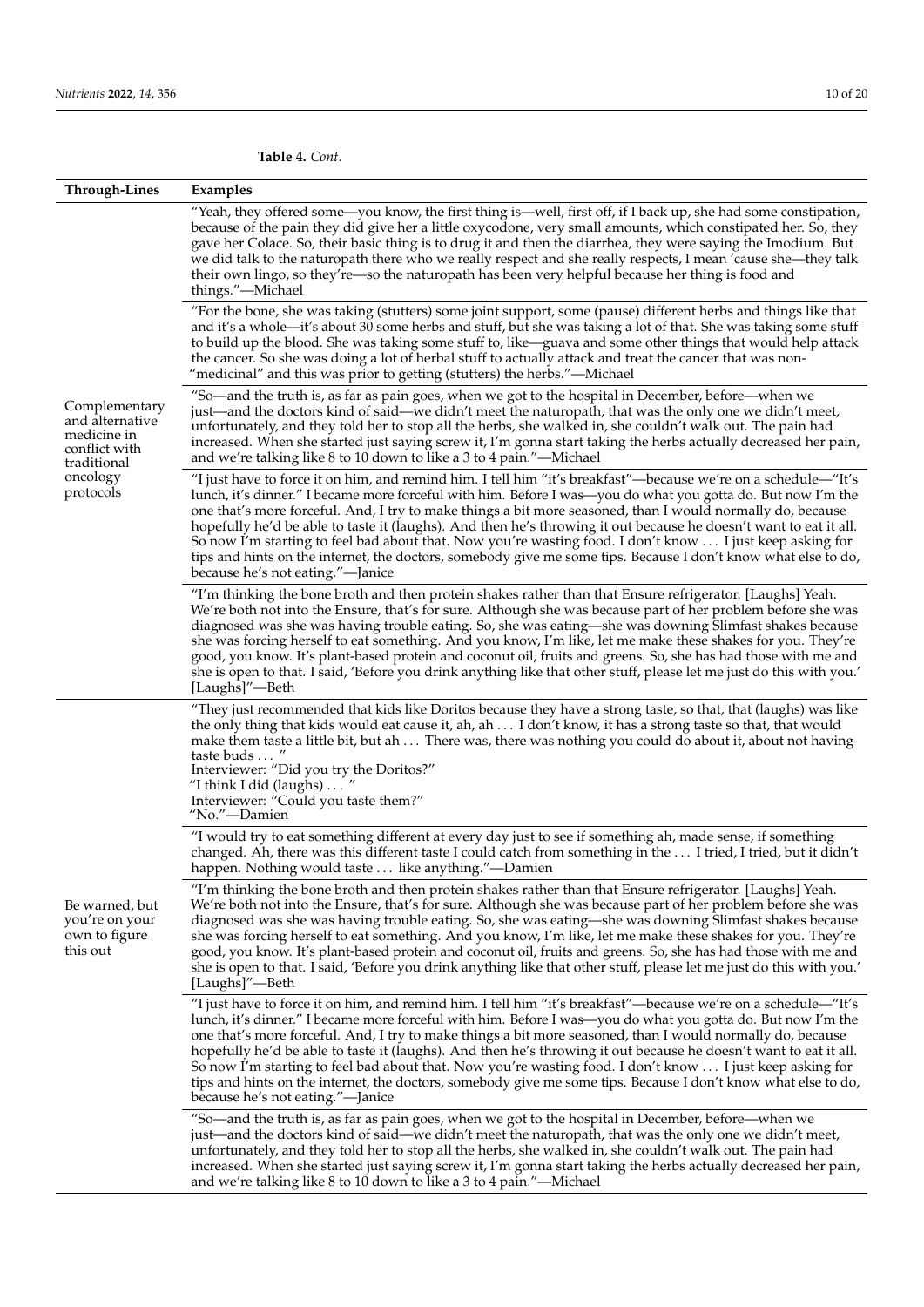**Table 4.** *Cont.*

| <b>Through-Lines</b>                                                                                     | Examples                                                                                                                                                                                                                                                                                                                                                                                                                                                                                                                                                                                                                                                                                                                             |
|----------------------------------------------------------------------------------------------------------|--------------------------------------------------------------------------------------------------------------------------------------------------------------------------------------------------------------------------------------------------------------------------------------------------------------------------------------------------------------------------------------------------------------------------------------------------------------------------------------------------------------------------------------------------------------------------------------------------------------------------------------------------------------------------------------------------------------------------------------|
| Complementary<br>and alternative<br>medicine in<br>conflict with<br>traditional<br>oncology<br>protocols | "Yeah, they offered some—you know, the first thing is—well, first off, if I back up, she had some constipation,<br>because of the pain they did give her a little oxycodone, very small amounts, which constipated her. So, they<br>gave her Colace. So, their basic thing is to drug it and then the diarrhea, they were saying the Imodium. But<br>we did talk to the naturopath there who we really respect and she really respects, I mean 'cause she—they talk<br>their own lingo, so they're—so the naturopath has been very helpful because her thing is food and<br>things."-Michael                                                                                                                                         |
|                                                                                                          | "For the bone, she was taking (stutters) some joint support, some (pause) different herbs and things like that<br>and it's a whole—it's about 30 some herbs and stuff, but she was taking a lot of that. She was taking some stuff<br>to build up the blood. She was taking some stuff to, like—guava and some other things that would help attack<br>the cancer. So she was doing a lot of herbal stuff to actually attack and treat the cancer that was non-<br>"medicinal" and this was prior to getting (stutters) the herbs."—Michael                                                                                                                                                                                           |
|                                                                                                          | "So—and the truth is, as far as pain goes, when we got to the hospital in December, before—when we<br>just—and the doctors kind of said—we didn't meet the naturopath, that was the only one we didn't meet,<br>unfortunately, and they told her to stop all the herbs, she walked in, she couldn't walk out. The pain had<br>increased. When she started just saying screw it, I'm gonna start taking the herbs actually decreased her pain,<br>and we're talking like 8 to 10 down to like a 3 to 4 pain."—Michael                                                                                                                                                                                                                 |
|                                                                                                          | "I just have to force it on him, and remind him. I tell him "it's breakfast"—because we're on a schedule—"It's<br>lunch, it's dinner." I became more forceful with him. Before I was—you do what you gotta do. But now I'm the<br>one that's more forceful. And, I try to make things a bit more seasoned, than I would normally do, because<br>hopefully he'd be able to taste it (laughs). And then he's throwing it out because he doesn't want to eat it all.<br>So now I'm starting to feel bad about that. Now you're wasting food. I don't know  I just keep asking for<br>tips and hints on the internet, the doctors, somebody give me some tips. Because I don't know what else to do,<br>because he's not eating."—Janice |
|                                                                                                          | "I'm thinking the bone broth and then protein shakes rather than that Ensure refrigerator. [Laughs] Yeah.<br>We're both not into the Ensure, that's for sure. Although she was because part of her problem before she was<br>diagnosed was she was having trouble eating. So, she was eating—she was downing Slimfast shakes because<br>she was forcing herself to eat something. And you know, I'm like, let me make these shakes for you. They're<br>good, you know. It's plant-based protein and coconut oil, fruits and greens. So, she has had those with me and<br>she is open to that. I said, 'Before you drink anything like that other stuff, please let me just do this with you.'<br>[Laughs]"—Beth                      |
| Be warned, but<br>you're on your<br>own to figure<br>this out                                            | "They just recommended that kids like Doritos because they have a strong taste, so that, that (laughs) was like<br>the only thing that kids would eat cause it, ah, ah I don't know, it has a strong taste so that, that would<br>make them taste a little bit, but ah  There was, there was nothing you could do about it, about not having<br>taste buds  "<br>Interviewer: "Did you try the Doritos?"<br>"I think I did (laughs) $\dots$ "<br>Interviewer: "Could you taste them?"<br>"No."-Damien                                                                                                                                                                                                                                |
|                                                                                                          | "I would try to eat something different at every day just to see if something ah, made sense, if something<br>changed. Ah, there was this different taste I could catch from something in the  I tried, I tried, but it didn't<br>happen. Nothing would taste  like anything."-Damien                                                                                                                                                                                                                                                                                                                                                                                                                                                |
|                                                                                                          | "I'm thinking the bone broth and then protein shakes rather than that Ensure refrigerator. [Laughs] Yeah.<br>We're both not into the Ensure, that's for sure. Although she was because part of her problem before she was<br>diagnosed was she was having trouble eating. So, she was eating—she was downing Slimfast shakes because<br>she was forcing herself to eat something. And you know, I'm like, let me make these shakes for you. They're<br>good, you know. It's plant-based protein and coconut oil, fruits and greens. So, she has had those with me and<br>she is open to that. I said, 'Before you drink anything like that other stuff, please let me just do this with you.'<br>[Laughs]"-Beth                      |
|                                                                                                          | "I just have to force it on him, and remind him. I tell him "it's breakfast"—because we're on a schedule—"It's<br>lunch, it's dinner." I became more forceful with him. Before I was—you do what you gotta do. But now I'm the<br>one that's more forceful. And, I try to make things a bit more seasoned, than I would normally do, because<br>hopefully he'd be able to taste it (laughs). And then he's throwing it out because he doesn't want to eat it all.<br>So now I'm starting to feel bad about that. Now you're wasting food. I don't know  I just keep asking for<br>tips and hints on the internet, the doctors, somebody give me some tips. Because I don't know what else to do,<br>because he's not eating."—Janice |
|                                                                                                          | "So—and the truth is, as far as pain goes, when we got to the hospital in December, before—when we<br>just—and the doctors kind of said—we didn't meet the naturopath, that was the only one we didn't meet,<br>unfortunately, and they told her to stop all the herbs, she walked in, she couldn't walk out. The pain had<br>increased. When she started just saying screw it, I'm gonna start taking the herbs actually decreased her pain,<br>and we're talking like 8 to 10 down to like a 3 to 4 pain."—Michael                                                                                                                                                                                                                 |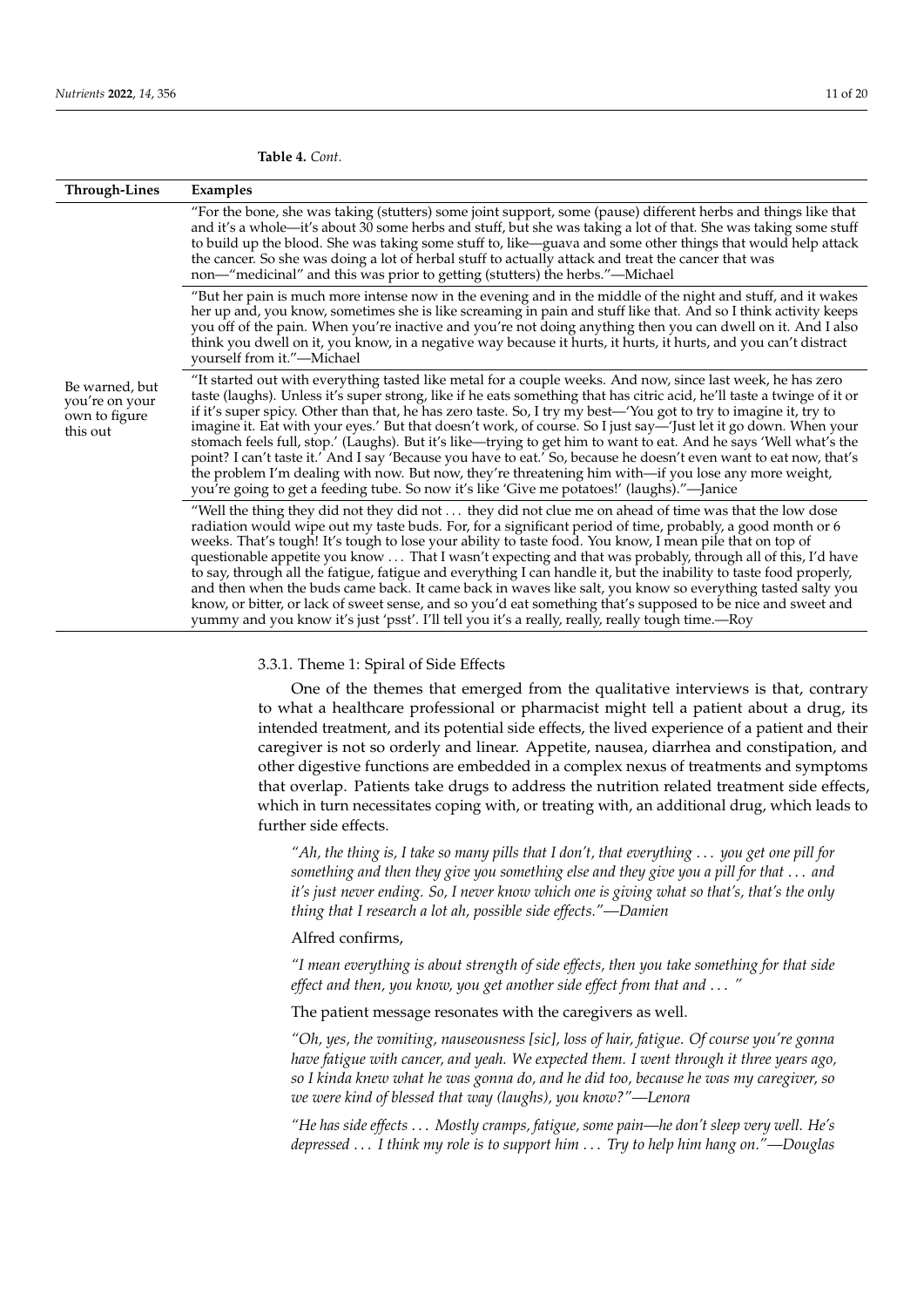|                                                               | Table 4. Cont.                                                                                                                                                                                                                                                                                                                                                                                                                                                                                                                                                                                                                                                                                                            |
|---------------------------------------------------------------|---------------------------------------------------------------------------------------------------------------------------------------------------------------------------------------------------------------------------------------------------------------------------------------------------------------------------------------------------------------------------------------------------------------------------------------------------------------------------------------------------------------------------------------------------------------------------------------------------------------------------------------------------------------------------------------------------------------------------|
| Through-Lines                                                 | Examples                                                                                                                                                                                                                                                                                                                                                                                                                                                                                                                                                                                                                                                                                                                  |
|                                                               | "For the bone, she was taking (stutters) some joint support, some (pause) different herbs and things like that<br>and it's a whole—it's about 30 some herbs and stuff, but she was taking a lot of that. She was taking some stuff<br>to build up the blood. She was taking some stuff to, like—guava and some other things that would help attack<br>the cancer. So she was doing a lot of herbal stuff to actually attack and treat the cancer that was<br>non—"medicinal" and this was prior to getting (stutters) the herbs."—Michael                                                                                                                                                                                 |
|                                                               | "But her pain is much more intense now in the evening and in the middle of the night and stuff, and it wakes<br>her up and, you know, sometimes she is like screaming in pain and stuff like that. And so I think activity keeps<br>you off of the pain. When you're inactive and you're not doing anything then you can dwell on it. And I also<br>think you dwell on it, you know, in a negative way because it hurts, it hurts, it hurts, and you can't distract<br>yourself from it."-Michael                                                                                                                                                                                                                         |
| Be warned, but<br>you're on your<br>own to figure<br>this out | "It started out with everything tasted like metal for a couple weeks. And now, since last week, he has zero<br>taste (laughs). Unless it's super strong, like if he eats something that has citric acid, he'll taste a twinge of it or<br>if it's super spicy. Other than that, he has zero taste. So, I try my best—'You got to try to imagine it, try to<br>imagine it. Eat with your eyes.' But that doesn't work, of course. So I just say—'Just let it go down. When your<br>stomach feels full, stop.' (Laughs). But it's like—trying to get him to want to eat. And he says 'Well what's the<br>point? I can't taste it.' And I say 'Because you have to eat.' So, because he doesn't even want to eat now, that's |

#### **Table 4.** *Cont.*

"Well the thing they did not they did not . . . they did not clue me on ahead of time was that the low dose radiation would wipe out my taste buds. For, for a significant period of time, probably, a good month or 6 weeks. That's tough! It's tough to lose your ability to taste food. You know, I mean pile that on top of questionable appetite you know . . . That I wasn't expecting and that was probably, through all of this, I'd have to say, through all the fatigue, fatigue and everything I can handle it, but the inability to taste food properly, and then when the buds came back. It came back in waves like salt, you know so everything tasted salty you know, or bitter, or lack of sweet sense, and so you'd eat something that's supposed to be nice and sweet and yummy and you know it's just 'psst'. I'll tell you it's a really, really, really tough time.—Roy

the problem I'm dealing with now. But now, they're threatening him with—if you lose any more weight,

you're going to get a feeding tube. So now it's like 'Give me potatoes!' (laughs)."—Janice

## 3.3.1. Theme 1: Spiral of Side Effects

One of the themes that emerged from the qualitative interviews is that, contrary to what a healthcare professional or pharmacist might tell a patient about a drug, its intended treatment, and its potential side effects, the lived experience of a patient and their caregiver is not so orderly and linear. Appetite, nausea, diarrhea and constipation, and other digestive functions are embedded in a complex nexus of treatments and symptoms that overlap. Patients take drugs to address the nutrition related treatment side effects, which in turn necessitates coping with, or treating with, an additional drug, which leads to further side effects.

*"Ah, the thing is, I take so many pills that I don't, that everything* . . . *you get one pill for something and then they give you something else and they give you a pill for that* . . . *and it's just never ending. So, I never know which one is giving what so that's, that's the only thing that I research a lot ah, possible side effects."—Damien*

#### Alfred confirms,

*"I mean everything is about strength of side effects, then you take something for that side effect and then, you know, you get another side effect from that and* . . . *"*

The patient message resonates with the caregivers as well.

*"Oh, yes, the vomiting, nauseousness [sic], loss of hair, fatigue. Of course you're gonna have fatigue with cancer, and yeah. We expected them. I went through it three years ago, so I kinda knew what he was gonna do, and he did too, because he was my caregiver, so we were kind of blessed that way (laughs), you know?"—Lenora*

*"He has side effects* . . . *Mostly cramps, fatigue, some pain—he don't sleep very well. He's depressed* . . . *I think my role is to support him* . . . *Try to help him hang on."—Douglas*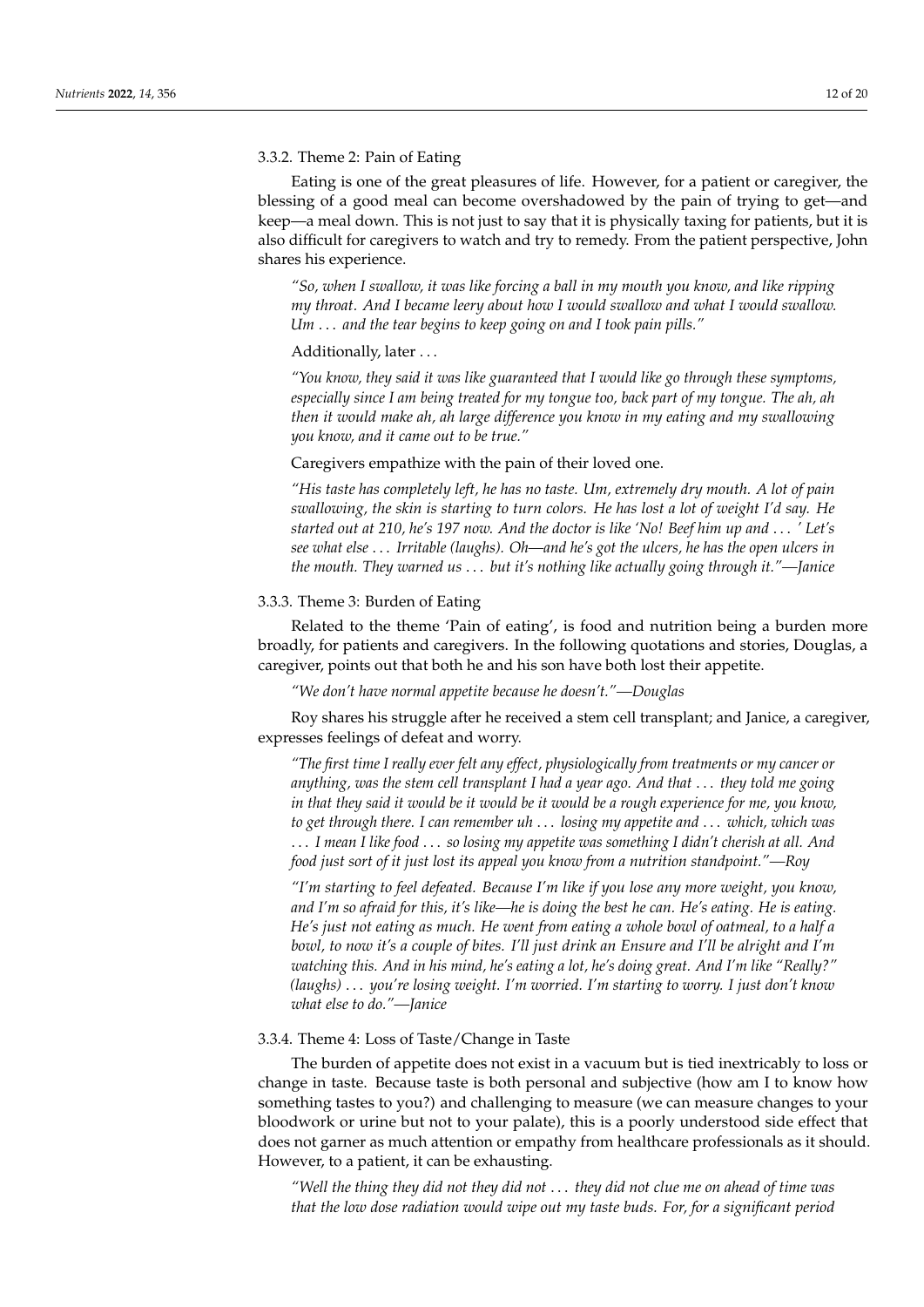#### 3.3.2. Theme 2: Pain of Eating

Eating is one of the great pleasures of life. However, for a patient or caregiver, the blessing of a good meal can become overshadowed by the pain of trying to get—and keep—a meal down. This is not just to say that it is physically taxing for patients, but it is also difficult for caregivers to watch and try to remedy. From the patient perspective, John shares his experience.

*"So, when I swallow, it was like forcing a ball in my mouth you know, and like ripping my throat. And I became leery about how I would swallow and what I would swallow. Um* . . . *and the tear begins to keep going on and I took pain pills."*

#### Additionally, later ...

*"You know, they said it was like guaranteed that I would like go through these symptoms, especially since I am being treated for my tongue too, back part of my tongue. The ah, ah then it would make ah, ah large difference you know in my eating and my swallowing you know, and it came out to be true."*

#### Caregivers empathize with the pain of their loved one.

*"His taste has completely left, he has no taste. Um, extremely dry mouth. A lot of pain swallowing, the skin is starting to turn colors. He has lost a lot of weight I'd say. He started out at 210, he's 197 now. And the doctor is like 'No! Beef him up and* . . . *' Let's see what else* . . . *Irritable (laughs). Oh—and he's got the ulcers, he has the open ulcers in the mouth. They warned us* . . . *but it's nothing like actually going through it."—Janice*

#### 3.3.3. Theme 3: Burden of Eating

Related to the theme 'Pain of eating', is food and nutrition being a burden more broadly, for patients and caregivers. In the following quotations and stories, Douglas, a caregiver, points out that both he and his son have both lost their appetite.

*"We don't have normal appetite because he doesn't."—Douglas*

Roy shares his struggle after he received a stem cell transplant; and Janice, a caregiver, expresses feelings of defeat and worry.

*"The first time I really ever felt any effect, physiologically from treatments or my cancer or anything, was the stem cell transplant I had a year ago. And that* . . . *they told me going in that they said it would be it would be it would be a rough experience for me, you know, to get through there. I can remember uh* . . . *losing my appetite and* . . . *which, which was* . . . *I mean I like food* . . . *so losing my appetite was something I didn't cherish at all. And food just sort of it just lost its appeal you know from a nutrition standpoint."—Roy*

*"I'm starting to feel defeated. Because I'm like if you lose any more weight, you know, and I'm so afraid for this, it's like—he is doing the best he can. He's eating. He is eating. He's just not eating as much. He went from eating a whole bowl of oatmeal, to a half a bowl, to now it's a couple of bites. I'll just drink an Ensure and I'll be alright and I'm watching this. And in his mind, he's eating a lot, he's doing great. And I'm like "Really?" (laughs)* . . . *you're losing weight. I'm worried. I'm starting to worry. I just don't know what else to do."—Janice*

#### 3.3.4. Theme 4: Loss of Taste/Change in Taste

The burden of appetite does not exist in a vacuum but is tied inextricably to loss or change in taste. Because taste is both personal and subjective (how am I to know how something tastes to you?) and challenging to measure (we can measure changes to your bloodwork or urine but not to your palate), this is a poorly understood side effect that does not garner as much attention or empathy from healthcare professionals as it should. However, to a patient, it can be exhausting.

*"Well the thing they did not they did not* . . . *they did not clue me on ahead of time was that the low dose radiation would wipe out my taste buds. For, for a significant period*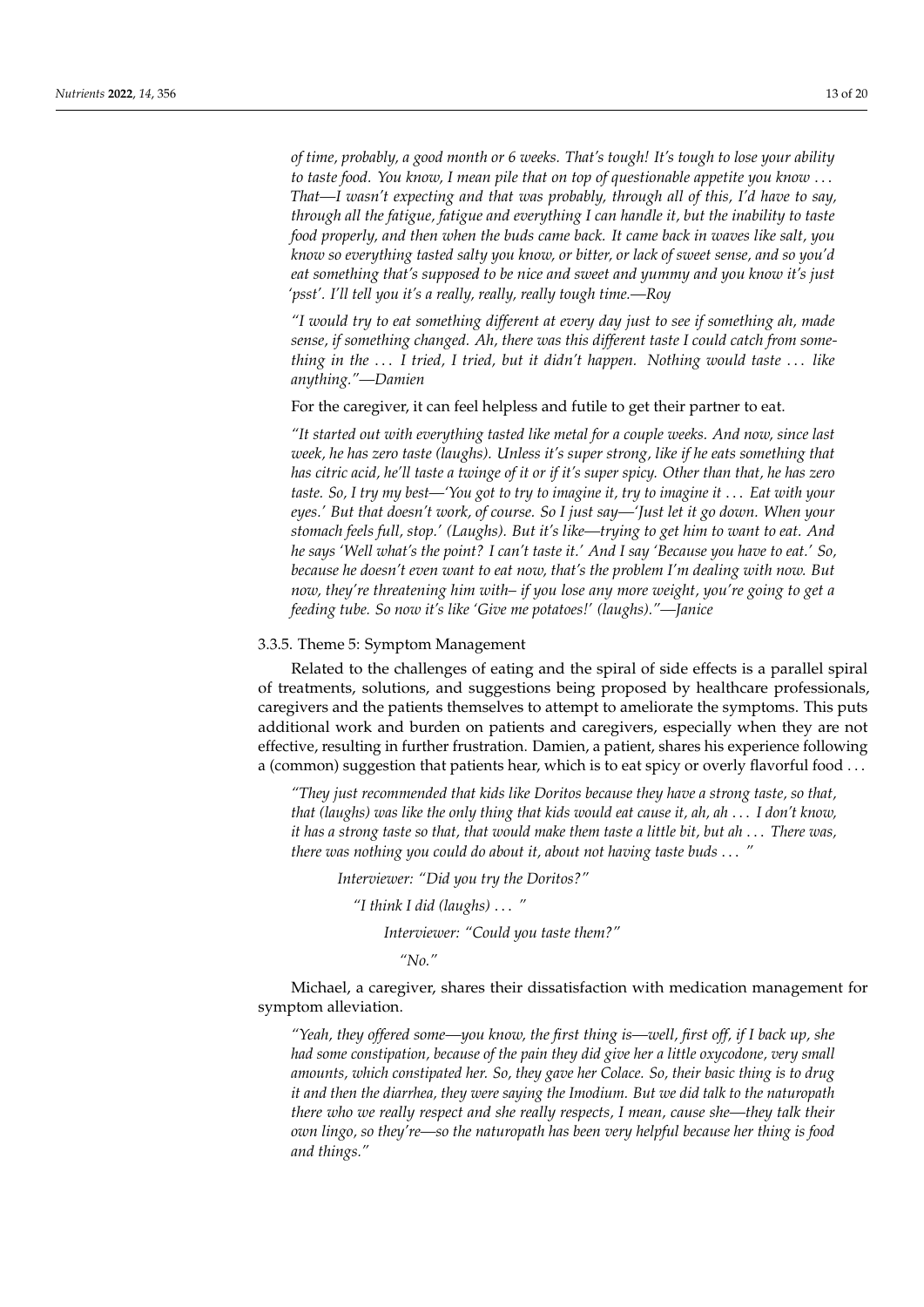*of time, probably, a good month or 6 weeks. That's tough! It's tough to lose your ability to taste food. You know, I mean pile that on top of questionable appetite you know* . . . *That—I wasn't expecting and that was probably, through all of this, I'd have to say, through all the fatigue, fatigue and everything I can handle it, but the inability to taste food properly, and then when the buds came back. It came back in waves like salt, you know so everything tasted salty you know, or bitter, or lack of sweet sense, and so you'd eat something that's supposed to be nice and sweet and yummy and you know it's just 'psst'. I'll tell you it's a really, really, really tough time.—Roy*

*"I would try to eat something different at every day just to see if something ah, made sense, if something changed. Ah, there was this different taste I could catch from something in the* . . . *I tried, I tried, but it didn't happen. Nothing would taste* . . . *like anything."—Damien*

#### For the caregiver, it can feel helpless and futile to get their partner to eat.

*"It started out with everything tasted like metal for a couple weeks. And now, since last week, he has zero taste (laughs). Unless it's super strong, like if he eats something that has citric acid, he'll taste a twinge of it or if it's super spicy. Other than that, he has zero taste. So, I try my best—'You got to try to imagine it, try to imagine it* . . . *Eat with your eyes.' But that doesn't work, of course. So I just say—'Just let it go down. When your stomach feels full, stop.' (Laughs). But it's like—trying to get him to want to eat. And he says 'Well what's the point? I can't taste it.' And I say 'Because you have to eat.' So, because he doesn't even want to eat now, that's the problem I'm dealing with now. But now, they're threatening him with– if you lose any more weight, you're going to get a feeding tube. So now it's like 'Give me potatoes!' (laughs)."—Janice*

# 3.3.5. Theme 5: Symptom Management

Related to the challenges of eating and the spiral of side effects is a parallel spiral of treatments, solutions, and suggestions being proposed by healthcare professionals, caregivers and the patients themselves to attempt to ameliorate the symptoms. This puts additional work and burden on patients and caregivers, especially when they are not effective, resulting in further frustration. Damien, a patient, shares his experience following a (common) suggestion that patients hear, which is to eat spicy or overly flavorful food ...

*"They just recommended that kids like Doritos because they have a strong taste, so that, that (laughs) was like the only thing that kids would eat cause it, ah, ah* . . . *I don't know, it has a strong taste so that, that would make them taste a little bit, but ah* . . . *There was, there was nothing you could do about it, about not having taste buds* . . . *"*

*Interviewer: "Did you try the Doritos?"*

*"I think I did (laughs)* . . . *"*

*Interviewer: "Could you taste them?"*

*"No."*

Michael, a caregiver, shares their dissatisfaction with medication management for symptom alleviation.

*"Yeah, they offered some—you know, the first thing is—well, first off, if I back up, she had some constipation, because of the pain they did give her a little oxycodone, very small amounts, which constipated her. So, they gave her Colace. So, their basic thing is to drug it and then the diarrhea, they were saying the Imodium. But we did talk to the naturopath there who we really respect and she really respects, I mean, cause she—they talk their own lingo, so they're—so the naturopath has been very helpful because her thing is food and things."*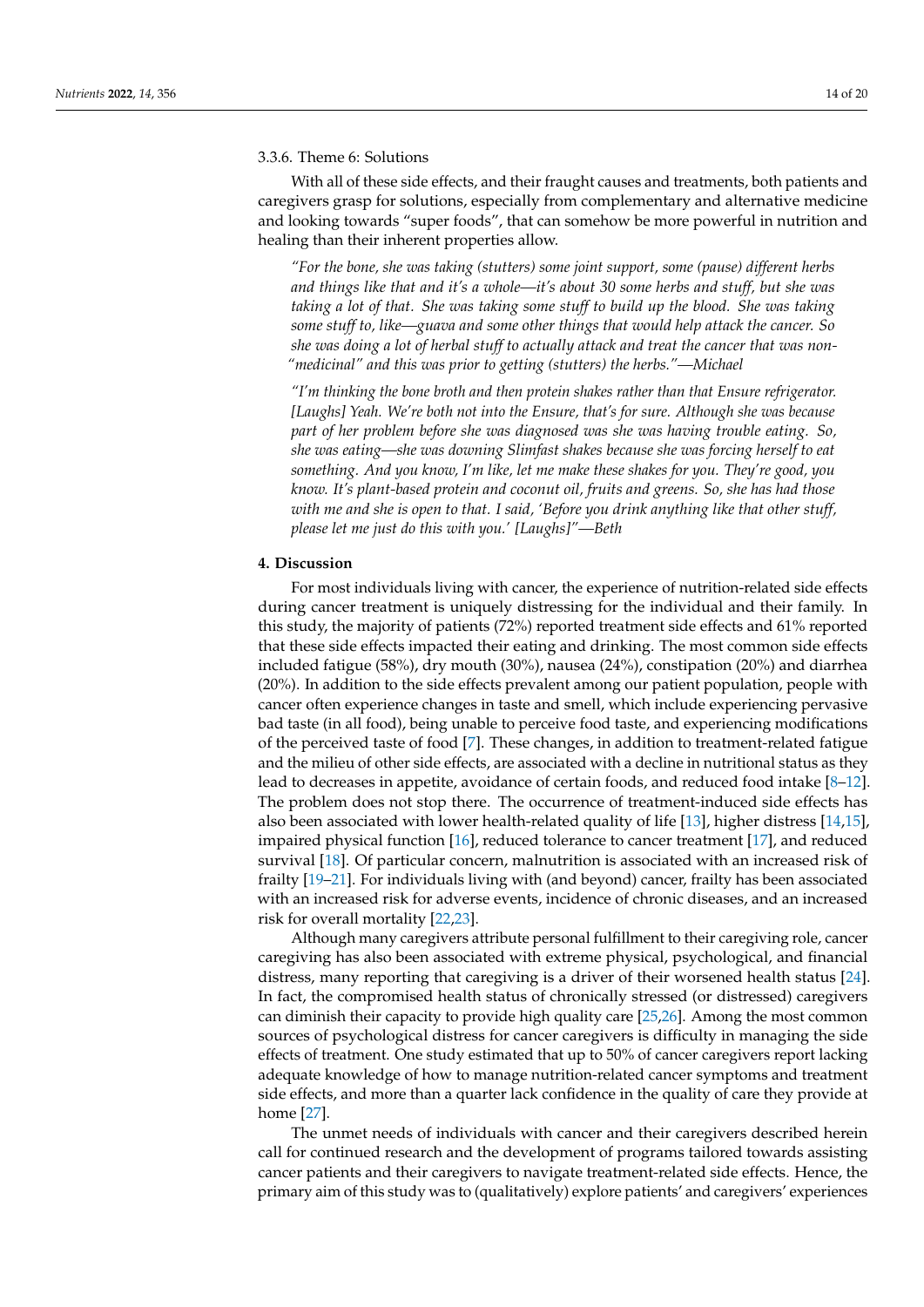#### 3.3.6. Theme 6: Solutions

With all of these side effects, and their fraught causes and treatments, both patients and caregivers grasp for solutions, especially from complementary and alternative medicine and looking towards "super foods", that can somehow be more powerful in nutrition and healing than their inherent properties allow.

*"For the bone, she was taking (stutters) some joint support, some (pause) different herbs and things like that and it's a whole—it's about 30 some herbs and stuff, but she was taking a lot of that. She was taking some stuff to build up the blood. She was taking some stuff to, like—guava and some other things that would help attack the cancer. So she was doing a lot of herbal stuff to actually attack and treat the cancer that was non- "medicinal" and this was prior to getting (stutters) the herbs."—Michael*

*"I'm thinking the bone broth and then protein shakes rather than that Ensure refrigerator. [Laughs] Yeah. We're both not into the Ensure, that's for sure. Although she was because part of her problem before she was diagnosed was she was having trouble eating. So, she was eating—she was downing Slimfast shakes because she was forcing herself to eat something. And you know, I'm like, let me make these shakes for you. They're good, you know. It's plant-based protein and coconut oil, fruits and greens. So, she has had those with me and she is open to that. I said, 'Before you drink anything like that other stuff, please let me just do this with you.' [Laughs]"—Beth*

#### **4. Discussion**

For most individuals living with cancer, the experience of nutrition-related side effects during cancer treatment is uniquely distressing for the individual and their family. In this study, the majority of patients (72%) reported treatment side effects and 61% reported that these side effects impacted their eating and drinking. The most common side effects included fatigue (58%), dry mouth (30%), nausea (24%), constipation (20%) and diarrhea (20%). In addition to the side effects prevalent among our patient population, people with cancer often experience changes in taste and smell, which include experiencing pervasive bad taste (in all food), being unable to perceive food taste, and experiencing modifications of the perceived taste of food [\[7\]](#page-19-6). These changes, in addition to treatment-related fatigue and the milieu of other side effects, are associated with a decline in nutritional status as they lead to decreases in appetite, avoidance of certain foods, and reduced food intake [\[8](#page-19-7)[–12\]](#page-20-0). The problem does not stop there. The occurrence of treatment-induced side effects has also been associated with lower health-related quality of life [\[13\]](#page-20-1), higher distress [\[14,](#page-20-2)[15\]](#page-20-3), impaired physical function [\[16\]](#page-20-4), reduced tolerance to cancer treatment [\[17\]](#page-20-5), and reduced survival [\[18\]](#page-20-6). Of particular concern, malnutrition is associated with an increased risk of frailty [\[19–](#page-20-7)[21\]](#page-20-8). For individuals living with (and beyond) cancer, frailty has been associated with an increased risk for adverse events, incidence of chronic diseases, and an increased risk for overall mortality [\[22](#page-20-9)[,23\]](#page-20-10).

Although many caregivers attribute personal fulfillment to their caregiving role, cancer caregiving has also been associated with extreme physical, psychological, and financial distress, many reporting that caregiving is a driver of their worsened health status [\[24\]](#page-20-11). In fact, the compromised health status of chronically stressed (or distressed) caregivers can diminish their capacity to provide high quality care [\[25](#page-20-12)[,26\]](#page-20-13). Among the most common sources of psychological distress for cancer caregivers is difficulty in managing the side effects of treatment. One study estimated that up to 50% of cancer caregivers report lacking adequate knowledge of how to manage nutrition-related cancer symptoms and treatment side effects, and more than a quarter lack confidence in the quality of care they provide at home [\[27\]](#page-20-14).

The unmet needs of individuals with cancer and their caregivers described herein call for continued research and the development of programs tailored towards assisting cancer patients and their caregivers to navigate treatment-related side effects. Hence, the primary aim of this study was to (qualitatively) explore patients' and caregivers' experiences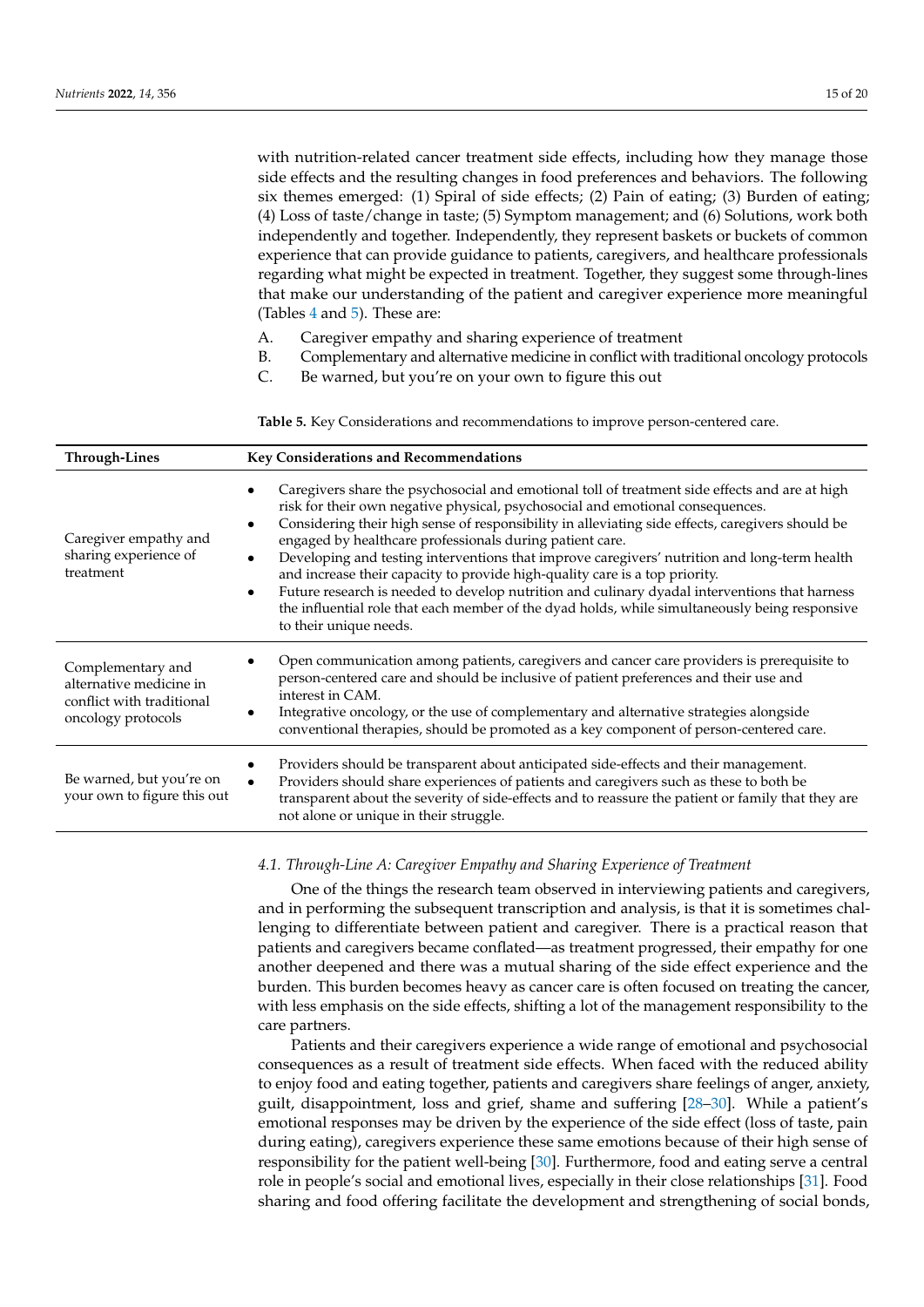with nutrition-related cancer treatment side effects, including how they manage those side effects and the resulting changes in food preferences and behaviors. The following six themes emerged: (1) Spiral of side effects; (2) Pain of eating; (3) Burden of eating; (4) Loss of taste/change in taste; (5) Symptom management; and (6) Solutions, work both independently and together. Independently, they represent baskets or buckets of common experience that can provide guidance to patients, caregivers, and healthcare professionals regarding what might be expected in treatment. Together, they suggest some through-lines that make our understanding of the patient and caregiver experience more meaningful (Tables [4](#page-10-0) and [5\)](#page-16-0). These are:

- A. Caregiver empathy and sharing experience of treatment
- B. Complementary and alternative medicine in conflict with traditional oncology protocols
- C. Be warned, but you're on your own to figure this out

<span id="page-16-0"></span>**Table 5.** Key Considerations and recommendations to improve person-centered care.

| <b>Through-Lines</b>                                                                            | <b>Key Considerations and Recommendations</b>                                                                                                                                                                                                                                                                                                                                                                                                                                                                                                                                                                                                                                                                                                                                          |  |
|-------------------------------------------------------------------------------------------------|----------------------------------------------------------------------------------------------------------------------------------------------------------------------------------------------------------------------------------------------------------------------------------------------------------------------------------------------------------------------------------------------------------------------------------------------------------------------------------------------------------------------------------------------------------------------------------------------------------------------------------------------------------------------------------------------------------------------------------------------------------------------------------------|--|
| Caregiver empathy and<br>sharing experience of<br>treatment                                     | Caregivers share the psychosocial and emotional toll of treatment side effects and are at high<br>risk for their own negative physical, psychosocial and emotional consequences.<br>Considering their high sense of responsibility in alleviating side effects, caregivers should be<br>engaged by healthcare professionals during patient care.<br>Developing and testing interventions that improve caregivers' nutrition and long-term health<br>$\bullet$<br>and increase their capacity to provide high-quality care is a top priority.<br>Future research is needed to develop nutrition and culinary dyadal interventions that harness<br>$\bullet$<br>the influential role that each member of the dyad holds, while simultaneously being responsive<br>to their unique needs. |  |
| Complementary and<br>alternative medicine in<br>conflict with traditional<br>oncology protocols | Open communication among patients, caregivers and cancer care providers is prerequisite to<br>person-centered care and should be inclusive of patient preferences and their use and<br>interest in CAM.<br>Integrative oncology, or the use of complementary and alternative strategies alongside<br>conventional therapies, should be promoted as a key component of person-centered care.                                                                                                                                                                                                                                                                                                                                                                                            |  |
| Be warned, but you're on<br>your own to figure this out                                         | Providers should be transparent about anticipated side-effects and their management.<br>Providers should share experiences of patients and caregivers such as these to both be<br>$\bullet$<br>transparent about the severity of side-effects and to reassure the patient or family that they are<br>not alone or unique in their struggle.                                                                                                                                                                                                                                                                                                                                                                                                                                            |  |

*4.1. Through-Line A: Caregiver Empathy and Sharing Experience of Treatment*

One of the things the research team observed in interviewing patients and caregivers, and in performing the subsequent transcription and analysis, is that it is sometimes challenging to differentiate between patient and caregiver. There is a practical reason that patients and caregivers became conflated—as treatment progressed, their empathy for one another deepened and there was a mutual sharing of the side effect experience and the burden. This burden becomes heavy as cancer care is often focused on treating the cancer, with less emphasis on the side effects, shifting a lot of the management responsibility to the care partners.

Patients and their caregivers experience a wide range of emotional and psychosocial consequences as a result of treatment side effects. When faced with the reduced ability to enjoy food and eating together, patients and caregivers share feelings of anger, anxiety, guilt, disappointment, loss and grief, shame and suffering [\[28](#page-20-15)[–30\]](#page-20-16). While a patient's emotional responses may be driven by the experience of the side effect (loss of taste, pain during eating), caregivers experience these same emotions because of their high sense of responsibility for the patient well-being [\[30\]](#page-20-16). Furthermore, food and eating serve a central role in people's social and emotional lives, especially in their close relationships [\[31\]](#page-20-17). Food sharing and food offering facilitate the development and strengthening of social bonds,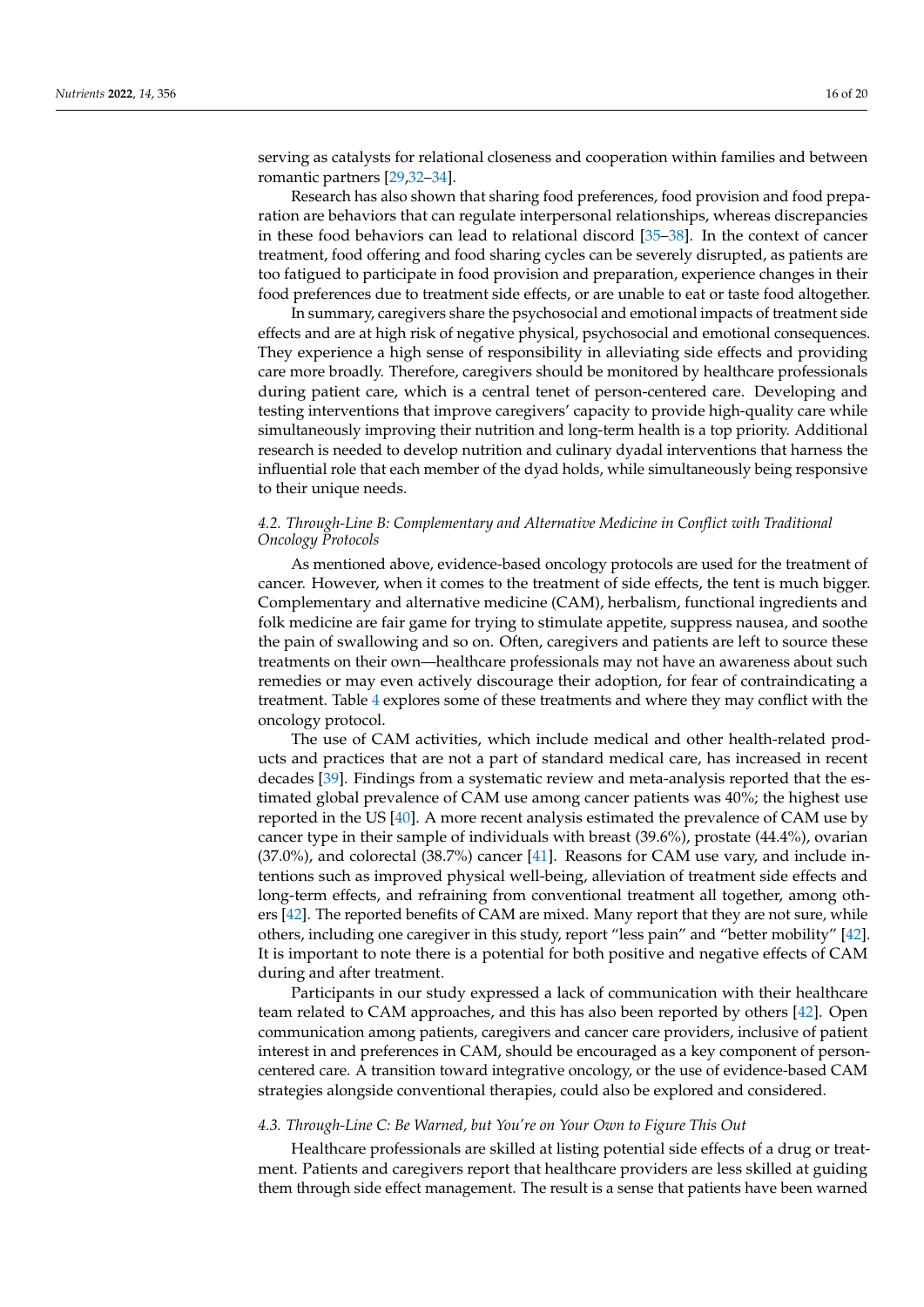serving as catalysts for relational closeness and cooperation within families and between romantic partners [\[29](#page-20-18)[,32](#page-20-19)[–34\]](#page-20-20).

Research has also shown that sharing food preferences, food provision and food preparation are behaviors that can regulate interpersonal relationships, whereas discrepancies in these food behaviors can lead to relational discord [\[35–](#page-20-21)[38\]](#page-20-22). In the context of cancer treatment, food offering and food sharing cycles can be severely disrupted, as patients are too fatigued to participate in food provision and preparation, experience changes in their food preferences due to treatment side effects, or are unable to eat or taste food altogether.

In summary, caregivers share the psychosocial and emotional impacts of treatment side effects and are at high risk of negative physical, psychosocial and emotional consequences. They experience a high sense of responsibility in alleviating side effects and providing care more broadly. Therefore, caregivers should be monitored by healthcare professionals during patient care, which is a central tenet of person-centered care. Developing and testing interventions that improve caregivers' capacity to provide high-quality care while simultaneously improving their nutrition and long-term health is a top priority. Additional research is needed to develop nutrition and culinary dyadal interventions that harness the influential role that each member of the dyad holds, while simultaneously being responsive to their unique needs.

#### *4.2. Through-Line B: Complementary and Alternative Medicine in Conflict with Traditional Oncology Protocols*

As mentioned above, evidence-based oncology protocols are used for the treatment of cancer. However, when it comes to the treatment of side effects, the tent is much bigger. Complementary and alternative medicine (CAM), herbalism, functional ingredients and folk medicine are fair game for trying to stimulate appetite, suppress nausea, and soothe the pain of swallowing and so on. Often, caregivers and patients are left to source these treatments on their own—healthcare professionals may not have an awareness about such remedies or may even actively discourage their adoption, for fear of contraindicating a treatment. Table [4](#page-10-0) explores some of these treatments and where they may conflict with the oncology protocol.

The use of CAM activities, which include medical and other health-related products and practices that are not a part of standard medical care, has increased in recent decades [\[39\]](#page-20-23). Findings from a systematic review and meta-analysis reported that the estimated global prevalence of CAM use among cancer patients was 40%; the highest use reported in the US [\[40\]](#page-21-0). A more recent analysis estimated the prevalence of CAM use by cancer type in their sample of individuals with breast (39.6%), prostate (44.4%), ovarian (37.0%), and colorectal (38.7%) cancer [\[41\]](#page-21-1). Reasons for CAM use vary, and include intentions such as improved physical well-being, alleviation of treatment side effects and long-term effects, and refraining from conventional treatment all together, among others [\[42\]](#page-21-2). The reported benefits of CAM are mixed. Many report that they are not sure, while others, including one caregiver in this study, report "less pain" and "better mobility" [\[42\]](#page-21-2). It is important to note there is a potential for both positive and negative effects of CAM during and after treatment.

Participants in our study expressed a lack of communication with their healthcare team related to CAM approaches, and this has also been reported by others [\[42\]](#page-21-2). Open communication among patients, caregivers and cancer care providers, inclusive of patient interest in and preferences in CAM, should be encouraged as a key component of personcentered care. A transition toward integrative oncology, or the use of evidence-based CAM strategies alongside conventional therapies, could also be explored and considered.

#### *4.3. Through-Line C: Be Warned, but You're on Your Own to Figure This Out*

Healthcare professionals are skilled at listing potential side effects of a drug or treatment. Patients and caregivers report that healthcare providers are less skilled at guiding them through side effect management. The result is a sense that patients have been warned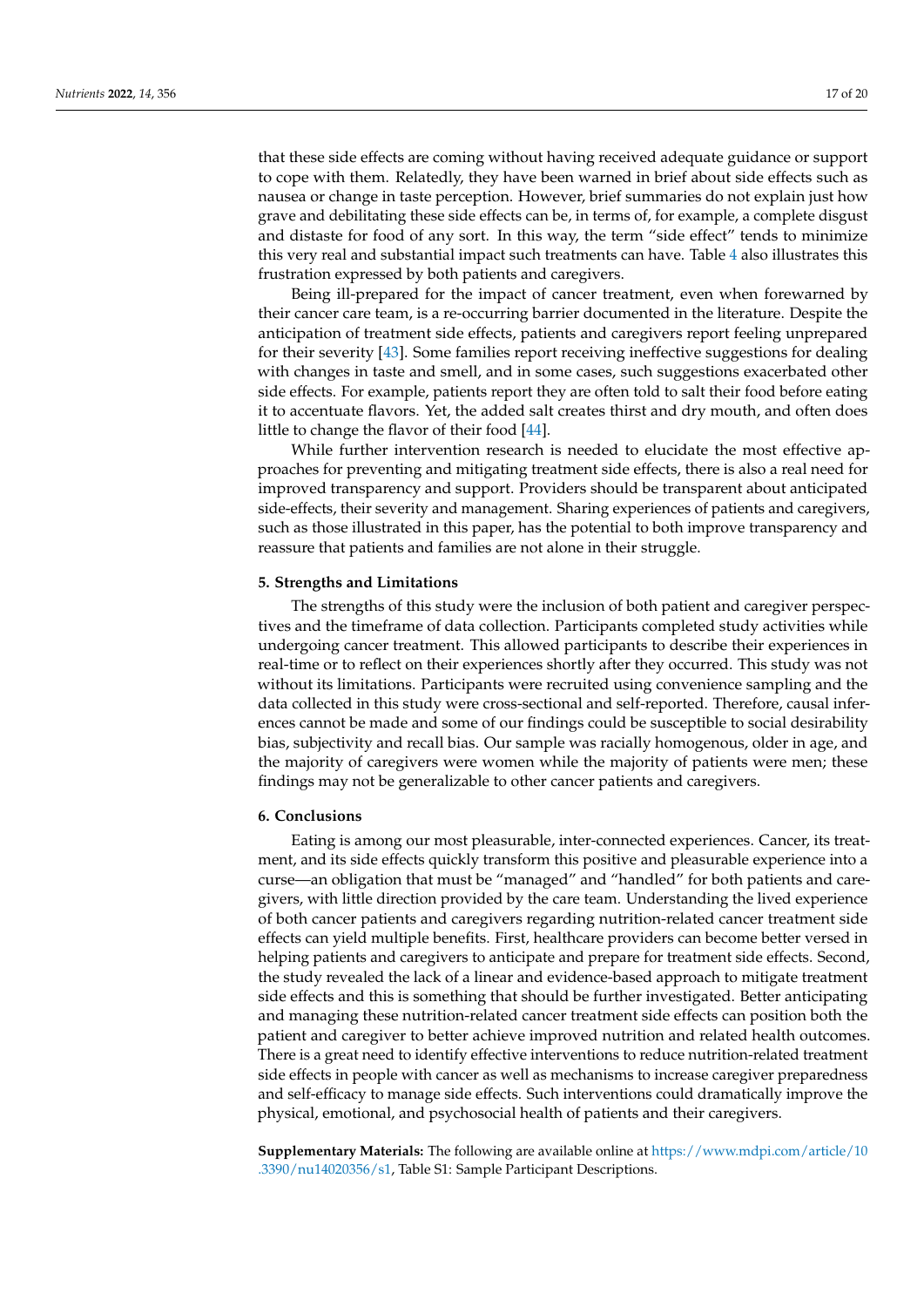that these side effects are coming without having received adequate guidance or support to cope with them. Relatedly, they have been warned in brief about side effects such as nausea or change in taste perception. However, brief summaries do not explain just how grave and debilitating these side effects can be, in terms of, for example, a complete disgust and distaste for food of any sort. In this way, the term "side effect" tends to minimize this very real and substantial impact such treatments can have. Table [4](#page-10-0) also illustrates this frustration expressed by both patients and caregivers.

Being ill-prepared for the impact of cancer treatment, even when forewarned by their cancer care team, is a re-occurring barrier documented in the literature. Despite the anticipation of treatment side effects, patients and caregivers report feeling unprepared for their severity [\[43\]](#page-21-3). Some families report receiving ineffective suggestions for dealing with changes in taste and smell, and in some cases, such suggestions exacerbated other side effects. For example, patients report they are often told to salt their food before eating it to accentuate flavors. Yet, the added salt creates thirst and dry mouth, and often does little to change the flavor of their food [\[44\]](#page-21-4).

While further intervention research is needed to elucidate the most effective approaches for preventing and mitigating treatment side effects, there is also a real need for improved transparency and support. Providers should be transparent about anticipated side-effects, their severity and management. Sharing experiences of patients and caregivers, such as those illustrated in this paper, has the potential to both improve transparency and reassure that patients and families are not alone in their struggle.

#### **5. Strengths and Limitations**

The strengths of this study were the inclusion of both patient and caregiver perspectives and the timeframe of data collection. Participants completed study activities while undergoing cancer treatment. This allowed participants to describe their experiences in real-time or to reflect on their experiences shortly after they occurred. This study was not without its limitations. Participants were recruited using convenience sampling and the data collected in this study were cross-sectional and self-reported. Therefore, causal inferences cannot be made and some of our findings could be susceptible to social desirability bias, subjectivity and recall bias. Our sample was racially homogenous, older in age, and the majority of caregivers were women while the majority of patients were men; these findings may not be generalizable to other cancer patients and caregivers.

#### **6. Conclusions**

Eating is among our most pleasurable, inter-connected experiences. Cancer, its treatment, and its side effects quickly transform this positive and pleasurable experience into a curse—an obligation that must be "managed" and "handled" for both patients and caregivers, with little direction provided by the care team. Understanding the lived experience of both cancer patients and caregivers regarding nutrition-related cancer treatment side effects can yield multiple benefits. First, healthcare providers can become better versed in helping patients and caregivers to anticipate and prepare for treatment side effects. Second, the study revealed the lack of a linear and evidence-based approach to mitigate treatment side effects and this is something that should be further investigated. Better anticipating and managing these nutrition-related cancer treatment side effects can position both the patient and caregiver to better achieve improved nutrition and related health outcomes. There is a great need to identify effective interventions to reduce nutrition-related treatment side effects in people with cancer as well as mechanisms to increase caregiver preparedness and self-efficacy to manage side effects. Such interventions could dramatically improve the physical, emotional, and psychosocial health of patients and their caregivers.

**Supplementary Materials:** The following are available online at [https://www.mdpi.com/article/10](https://www.mdpi.com/article/10.3390/nu14020356/s1) [.3390/nu14020356/s1,](https://www.mdpi.com/article/10.3390/nu14020356/s1) Table S1: Sample Participant Descriptions.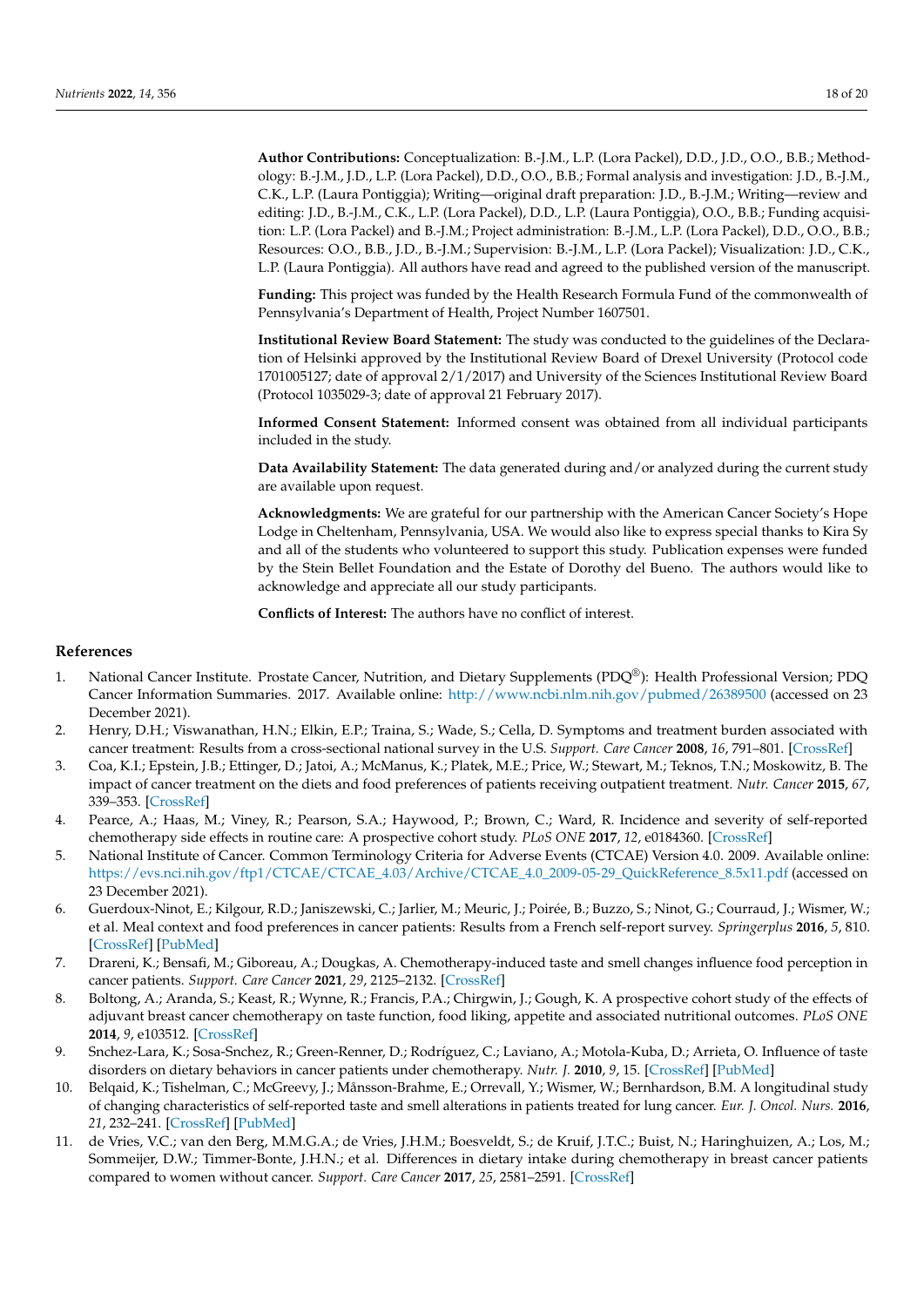**Author Contributions:** Conceptualization: B.-J.M., L.P. (Lora Packel), D.D., J.D., O.O., B.B.; Methodology: B.-J.M., J.D., L.P. (Lora Packel), D.D., O.O., B.B.; Formal analysis and investigation: J.D., B.-J.M., C.K., L.P. (Laura Pontiggia); Writing—original draft preparation: J.D., B.-J.M.; Writing—review and editing: J.D., B.-J.M., C.K., L.P. (Lora Packel), D.D., L.P. (Laura Pontiggia), O.O., B.B.; Funding acquisition: L.P. (Lora Packel) and B.-J.M.; Project administration: B.-J.M., L.P. (Lora Packel), D.D., O.O., B.B.; Resources: O.O., B.B., J.D., B.-J.M.; Supervision: B.-J.M., L.P. (Lora Packel); Visualization: J.D., C.K., L.P. (Laura Pontiggia). All authors have read and agreed to the published version of the manuscript.

**Funding:** This project was funded by the Health Research Formula Fund of the commonwealth of Pennsylvania's Department of Health, Project Number 1607501.

**Institutional Review Board Statement:** The study was conducted to the guidelines of the Declaration of Helsinki approved by the Institutional Review Board of Drexel University (Protocol code 1701005127; date of approval 2/1/2017) and University of the Sciences Institutional Review Board (Protocol 1035029-3; date of approval 21 February 2017).

**Informed Consent Statement:** Informed consent was obtained from all individual participants included in the study.

**Data Availability Statement:** The data generated during and/or analyzed during the current study are available upon request.

**Acknowledgments:** We are grateful for our partnership with the American Cancer Society's Hope Lodge in Cheltenham, Pennsylvania, USA. We would also like to express special thanks to Kira Sy and all of the students who volunteered to support this study. Publication expenses were funded by the Stein Bellet Foundation and the Estate of Dorothy del Bueno. The authors would like to acknowledge and appreciate all our study participants.

**Conflicts of Interest:** The authors have no conflict of interest.

#### **References**

- <span id="page-19-0"></span>1. National Cancer Institute. Prostate Cancer, Nutrition, and Dietary Supplements (PDQ®): Health Professional Version; PDQ Cancer Information Summaries. 2017. Available online: <http://www.ncbi.nlm.nih.gov/pubmed/26389500> (accessed on 23 December 2021).
- <span id="page-19-1"></span>2. Henry, D.H.; Viswanathan, H.N.; Elkin, E.P.; Traina, S.; Wade, S.; Cella, D. Symptoms and treatment burden associated with cancer treatment: Results from a cross-sectional national survey in the U.S. *Support. Care Cancer* **2008**, *16*, 791–801. [\[CrossRef\]](http://doi.org/10.1007/s00520-007-0380-2)
- <span id="page-19-2"></span>3. Coa, K.I.; Epstein, J.B.; Ettinger, D.; Jatoi, A.; McManus, K.; Platek, M.E.; Price, W.; Stewart, M.; Teknos, T.N.; Moskowitz, B. The impact of cancer treatment on the diets and food preferences of patients receiving outpatient treatment. *Nutr. Cancer* **2015**, *67*, 339–353. [\[CrossRef\]](http://doi.org/10.1080/01635581.2015.990577)
- <span id="page-19-3"></span>4. Pearce, A.; Haas, M.; Viney, R.; Pearson, S.A.; Haywood, P.; Brown, C.; Ward, R. Incidence and severity of self-reported chemotherapy side effects in routine care: A prospective cohort study. *PLoS ONE* **2017**, *12*, e0184360. [\[CrossRef\]](http://doi.org/10.1371/journal.pone.0184360)
- <span id="page-19-4"></span>5. National Institute of Cancer. Common Terminology Criteria for Adverse Events (CTCAE) Version 4.0. 2009. Available online: [https://evs.nci.nih.gov/ftp1/CTCAE/CTCAE\\_4.03/Archive/CTCAE\\_4.0\\_2009-05-29\\_QuickReference\\_8.5x11.pdf](https://evs.nci.nih.gov/ftp1/CTCAE/CTCAE_4.03/Archive/CTCAE_4.0_2009-05-29_QuickReference_8.5x11.pdf) (accessed on 23 December 2021).
- <span id="page-19-5"></span>6. Guerdoux-Ninot, E.; Kilgour, R.D.; Janiszewski, C.; Jarlier, M.; Meuric, J.; Poirée, B.; Buzzo, S.; Ninot, G.; Courraud, J.; Wismer, W.; et al. Meal context and food preferences in cancer patients: Results from a French self-report survey. *Springerplus* **2016**, *5*, 810. [\[CrossRef\]](http://doi.org/10.1186/s40064-016-2538-1) [\[PubMed\]](http://www.ncbi.nlm.nih.gov/pubmed/27390650)
- <span id="page-19-6"></span>7. Drareni, K.; Bensafi, M.; Giboreau, A.; Dougkas, A. Chemotherapy-induced taste and smell changes influence food perception in cancer patients. *Support. Care Cancer* **2021**, *29*, 2125–2132. [\[CrossRef\]](http://doi.org/10.1007/s00520-020-05717-1)
- <span id="page-19-7"></span>8. Boltong, A.; Aranda, S.; Keast, R.; Wynne, R.; Francis, P.A.; Chirgwin, J.; Gough, K. A prospective cohort study of the effects of adjuvant breast cancer chemotherapy on taste function, food liking, appetite and associated nutritional outcomes. *PLoS ONE* **2014**, *9*, e103512. [\[CrossRef\]](http://doi.org/10.1371/journal.pone.0103512)
- 9. Snchez-Lara, K.; Sosa-Snchez, R.; Green-Renner, D.; Rodríguez, C.; Laviano, A.; Motola-Kuba, D.; Arrieta, O. Influence of taste disorders on dietary behaviors in cancer patients under chemotherapy. *Nutr. J.* **2010**, *9*, 15. [\[CrossRef\]](http://doi.org/10.1186/1475-2891-9-15) [\[PubMed\]](http://www.ncbi.nlm.nih.gov/pubmed/20334666)
- 10. Belqaid, K.; Tishelman, C.; McGreevy, J.; Månsson-Brahme, E.; Orrevall, Y.; Wismer, W.; Bernhardson, B.M. A longitudinal study of changing characteristics of self-reported taste and smell alterations in patients treated for lung cancer. *Eur. J. Oncol. Nurs.* **2016**, *21*, 232–241. [\[CrossRef\]](http://doi.org/10.1016/j.ejon.2015.10.009) [\[PubMed\]](http://www.ncbi.nlm.nih.gov/pubmed/26706824)
- 11. de Vries, V.C.; van den Berg, M.M.G.A.; de Vries, J.H.M.; Boesveldt, S.; de Kruif, J.T.C.; Buist, N.; Haringhuizen, A.; Los, M.; Sommeijer, D.W.; Timmer-Bonte, J.H.N.; et al. Differences in dietary intake during chemotherapy in breast cancer patients compared to women without cancer. *Support. Care Cancer* **2017**, *25*, 2581–2591. [\[CrossRef\]](http://doi.org/10.1007/s00520-017-3668-x)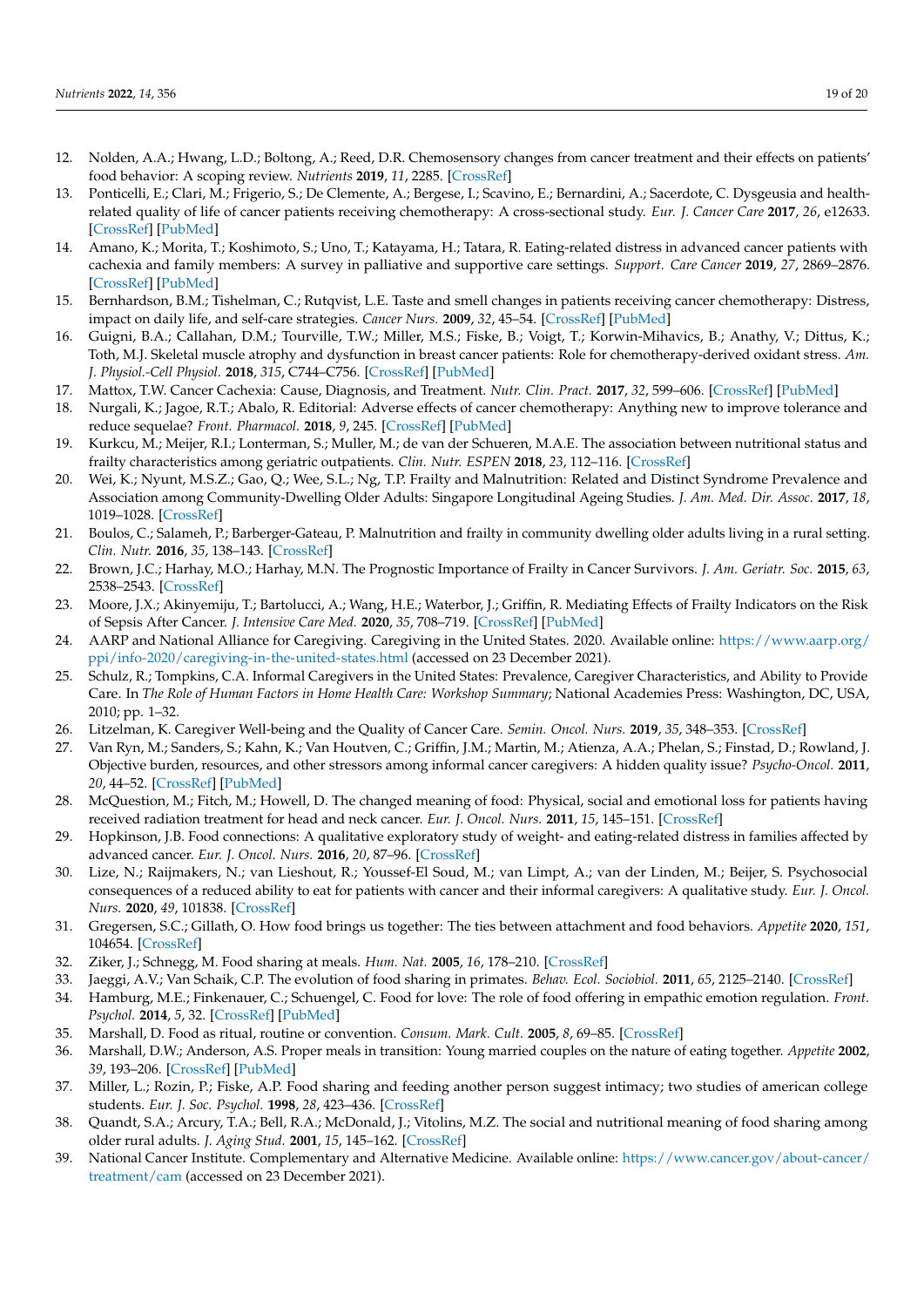- <span id="page-20-0"></span>12. Nolden, A.A.; Hwang, L.D.; Boltong, A.; Reed, D.R. Chemosensory changes from cancer treatment and their effects on patients' food behavior: A scoping review. *Nutrients* **2019**, *11*, 2285. [\[CrossRef\]](http://doi.org/10.3390/nu11102285)
- <span id="page-20-1"></span>13. Ponticelli, E.; Clari, M.; Frigerio, S.; De Clemente, A.; Bergese, I.; Scavino, E.; Bernardini, A.; Sacerdote, C. Dysgeusia and healthrelated quality of life of cancer patients receiving chemotherapy: A cross-sectional study. *Eur. J. Cancer Care* **2017**, *26*, e12633. [\[CrossRef\]](http://doi.org/10.1111/ecc.12633) [\[PubMed\]](http://www.ncbi.nlm.nih.gov/pubmed/28101929)
- <span id="page-20-2"></span>14. Amano, K.; Morita, T.; Koshimoto, S.; Uno, T.; Katayama, H.; Tatara, R. Eating-related distress in advanced cancer patients with cachexia and family members: A survey in palliative and supportive care settings. *Support. Care Cancer* **2019**, *27*, 2869–2876. [\[CrossRef\]](http://doi.org/10.1007/s00520-018-4590-6) [\[PubMed\]](http://www.ncbi.nlm.nih.gov/pubmed/30554279)
- <span id="page-20-3"></span>15. Bernhardson, B.M.; Tishelman, C.; Rutqvist, L.E. Taste and smell changes in patients receiving cancer chemotherapy: Distress, impact on daily life, and self-care strategies. *Cancer Nurs.* **2009**, *32*, 45–54. [\[CrossRef\]](http://doi.org/10.1097/01.NCC.0000343368.06247.74) [\[PubMed\]](http://www.ncbi.nlm.nih.gov/pubmed/19104201)
- <span id="page-20-4"></span>16. Guigni, B.A.; Callahan, D.M.; Tourville, T.W.; Miller, M.S.; Fiske, B.; Voigt, T.; Korwin-Mihavics, B.; Anathy, V.; Dittus, K.; Toth, M.J. Skeletal muscle atrophy and dysfunction in breast cancer patients: Role for chemotherapy-derived oxidant stress. *Am. J. Physiol.-Cell Physiol.* **2018**, *315*, C744–C756. [\[CrossRef\]](http://doi.org/10.1152/ajpcell.00002.2018) [\[PubMed\]](http://www.ncbi.nlm.nih.gov/pubmed/30207784)
- <span id="page-20-5"></span>17. Mattox, T.W. Cancer Cachexia: Cause, Diagnosis, and Treatment. *Nutr. Clin. Pract.* **2017**, *32*, 599–606. [\[CrossRef\]](http://doi.org/10.1177/0884533617722986) [\[PubMed\]](http://www.ncbi.nlm.nih.gov/pubmed/28825869)
- <span id="page-20-6"></span>18. Nurgali, K.; Jagoe, R.T.; Abalo, R. Editorial: Adverse effects of cancer chemotherapy: Anything new to improve tolerance and reduce sequelae? *Front. Pharmacol.* **2018**, *9*, 245. [\[CrossRef\]](http://doi.org/10.3389/fphar.2018.00245) [\[PubMed\]](http://www.ncbi.nlm.nih.gov/pubmed/29623040)
- <span id="page-20-7"></span>19. Kurkcu, M.; Meijer, R.I.; Lonterman, S.; Muller, M.; de van der Schueren, M.A.E. The association between nutritional status and frailty characteristics among geriatric outpatients. *Clin. Nutr. ESPEN* **2018**, *23*, 112–116. [\[CrossRef\]](http://doi.org/10.1016/j.clnesp.2017.11.006)
- 20. Wei, K.; Nyunt, M.S.Z.; Gao, Q.; Wee, S.L.; Ng, T.P. Frailty and Malnutrition: Related and Distinct Syndrome Prevalence and Association among Community-Dwelling Older Adults: Singapore Longitudinal Ageing Studies. *J. Am. Med. Dir. Assoc.* **2017**, *18*, 1019–1028. [\[CrossRef\]](http://doi.org/10.1016/j.jamda.2017.06.017)
- <span id="page-20-8"></span>21. Boulos, C.; Salameh, P.; Barberger-Gateau, P. Malnutrition and frailty in community dwelling older adults living in a rural setting. *Clin. Nutr.* **2016**, *35*, 138–143. [\[CrossRef\]](http://doi.org/10.1016/j.clnu.2015.01.008)
- <span id="page-20-9"></span>22. Brown, J.C.; Harhay, M.O.; Harhay, M.N. The Prognostic Importance of Frailty in Cancer Survivors. *J. Am. Geriatr. Soc.* **2015**, *63*, 2538–2543. [\[CrossRef\]](http://doi.org/10.1111/jgs.13819)
- <span id="page-20-10"></span>23. Moore, J.X.; Akinyemiju, T.; Bartolucci, A.; Wang, H.E.; Waterbor, J.; Griffin, R. Mediating Effects of Frailty Indicators on the Risk of Sepsis After Cancer. *J. Intensive Care Med.* **2020**, *35*, 708–719. [\[CrossRef\]](http://doi.org/10.1177/0885066618779941) [\[PubMed\]](http://www.ncbi.nlm.nih.gov/pubmed/29862879)
- <span id="page-20-11"></span>24. AARP and National Alliance for Caregiving. Caregiving in the United States. 2020. Available online: [https://www.aarp.org/](https://www.aarp.org/ppi/info-2020/caregiving-in-the-united-states.html) [ppi/info-2020/caregiving-in-the-united-states.html](https://www.aarp.org/ppi/info-2020/caregiving-in-the-united-states.html) (accessed on 23 December 2021).
- <span id="page-20-12"></span>25. Schulz, R.; Tompkins, C.A. Informal Caregivers in the United States: Prevalence, Caregiver Characteristics, and Ability to Provide Care. In *The Role of Human Factors in Home Health Care: Workshop Summary*; National Academies Press: Washington, DC, USA, 2010; pp. 1–32.
- <span id="page-20-13"></span>26. Litzelman, K. Caregiver Well-being and the Quality of Cancer Care. *Semin. Oncol. Nurs.* **2019**, *35*, 348–353. [\[CrossRef\]](http://doi.org/10.1016/j.soncn.2019.06.006)
- <span id="page-20-14"></span>27. Van Ryn, M.; Sanders, S.; Kahn, K.; Van Houtven, C.; Griffin, J.M.; Martin, M.; Atienza, A.A.; Phelan, S.; Finstad, D.; Rowland, J. Objective burden, resources, and other stressors among informal cancer caregivers: A hidden quality issue? *Psycho-Oncol.* **2011**, *20*, 44–52. [\[CrossRef\]](http://doi.org/10.1002/pon.1703) [\[PubMed\]](http://www.ncbi.nlm.nih.gov/pubmed/20201115)
- <span id="page-20-15"></span>28. McQuestion, M.; Fitch, M.; Howell, D. The changed meaning of food: Physical, social and emotional loss for patients having received radiation treatment for head and neck cancer. *Eur. J. Oncol. Nurs.* **2011**, *15*, 145–151. [\[CrossRef\]](http://doi.org/10.1016/j.ejon.2010.07.006)
- <span id="page-20-18"></span>29. Hopkinson, J.B. Food connections: A qualitative exploratory study of weight- and eating-related distress in families affected by advanced cancer. *Eur. J. Oncol. Nurs.* **2016**, *20*, 87–96. [\[CrossRef\]](http://doi.org/10.1016/j.ejon.2015.06.002)
- <span id="page-20-16"></span>30. Lize, N.; Raijmakers, N.; van Lieshout, R.; Youssef-El Soud, M.; van Limpt, A.; van der Linden, M.; Beijer, S. Psychosocial consequences of a reduced ability to eat for patients with cancer and their informal caregivers: A qualitative study. *Eur. J. Oncol. Nurs.* **2020**, *49*, 101838. [\[CrossRef\]](http://doi.org/10.1016/j.ejon.2020.101838)
- <span id="page-20-17"></span>31. Gregersen, S.C.; Gillath, O. How food brings us together: The ties between attachment and food behaviors. *Appetite* **2020**, *151*, 104654. [\[CrossRef\]](http://doi.org/10.1016/j.appet.2020.104654)
- <span id="page-20-19"></span>32. Ziker, J.; Schnegg, M. Food sharing at meals. *Hum. Nat.* **2005**, *16*, 178–210. [\[CrossRef\]](http://doi.org/10.1007/s12110-005-1003-6)
- 33. Jaeggi, A.V.; Van Schaik, C.P. The evolution of food sharing in primates. *Behav. Ecol. Sociobiol.* **2011**, *65*, 2125–2140. [\[CrossRef\]](http://doi.org/10.1007/s00265-011-1221-3)
- <span id="page-20-20"></span>34. Hamburg, M.E.; Finkenauer, C.; Schuengel, C. Food for love: The role of food offering in empathic emotion regulation. *Front. Psychol.* **2014**, *5*, 32. [\[CrossRef\]](http://doi.org/10.3389/fpsyg.2014.00032) [\[PubMed\]](http://www.ncbi.nlm.nih.gov/pubmed/24550860)
- <span id="page-20-21"></span>35. Marshall, D. Food as ritual, routine or convention. *Consum. Mark. Cult.* **2005**, *8*, 69–85. [\[CrossRef\]](http://doi.org/10.1080/10253860500069042)
- 36. Marshall, D.W.; Anderson, A.S. Proper meals in transition: Young married couples on the nature of eating together. *Appetite* **2002**, *39*, 193–206. [\[CrossRef\]](http://doi.org/10.1006/appe.2002.0507) [\[PubMed\]](http://www.ncbi.nlm.nih.gov/pubmed/12495693)
- 37. Miller, L.; Rozin, P.; Fiske, A.P. Food sharing and feeding another person suggest intimacy; two studies of american college students. *Eur. J. Soc. Psychol.* **1998**, *28*, 423–436. [\[CrossRef\]](http://doi.org/10.1002/(SICI)1099-0992(199805/06)28:3<423::AID-EJSP874>3.0.CO;2-V)
- <span id="page-20-22"></span>38. Quandt, S.A.; Arcury, T.A.; Bell, R.A.; McDonald, J.; Vitolins, M.Z. The social and nutritional meaning of food sharing among older rural adults. *J. Aging Stud.* **2001**, *15*, 145–162. [\[CrossRef\]](http://doi.org/10.1016/S0890-4065(00)00023-2)
- <span id="page-20-23"></span>39. National Cancer Institute. Complementary and Alternative Medicine. Available online: [https://www.cancer.gov/about-cancer/](https://www.cancer.gov/about-cancer/treatment/cam) [treatment/cam](https://www.cancer.gov/about-cancer/treatment/cam) (accessed on 23 December 2021).